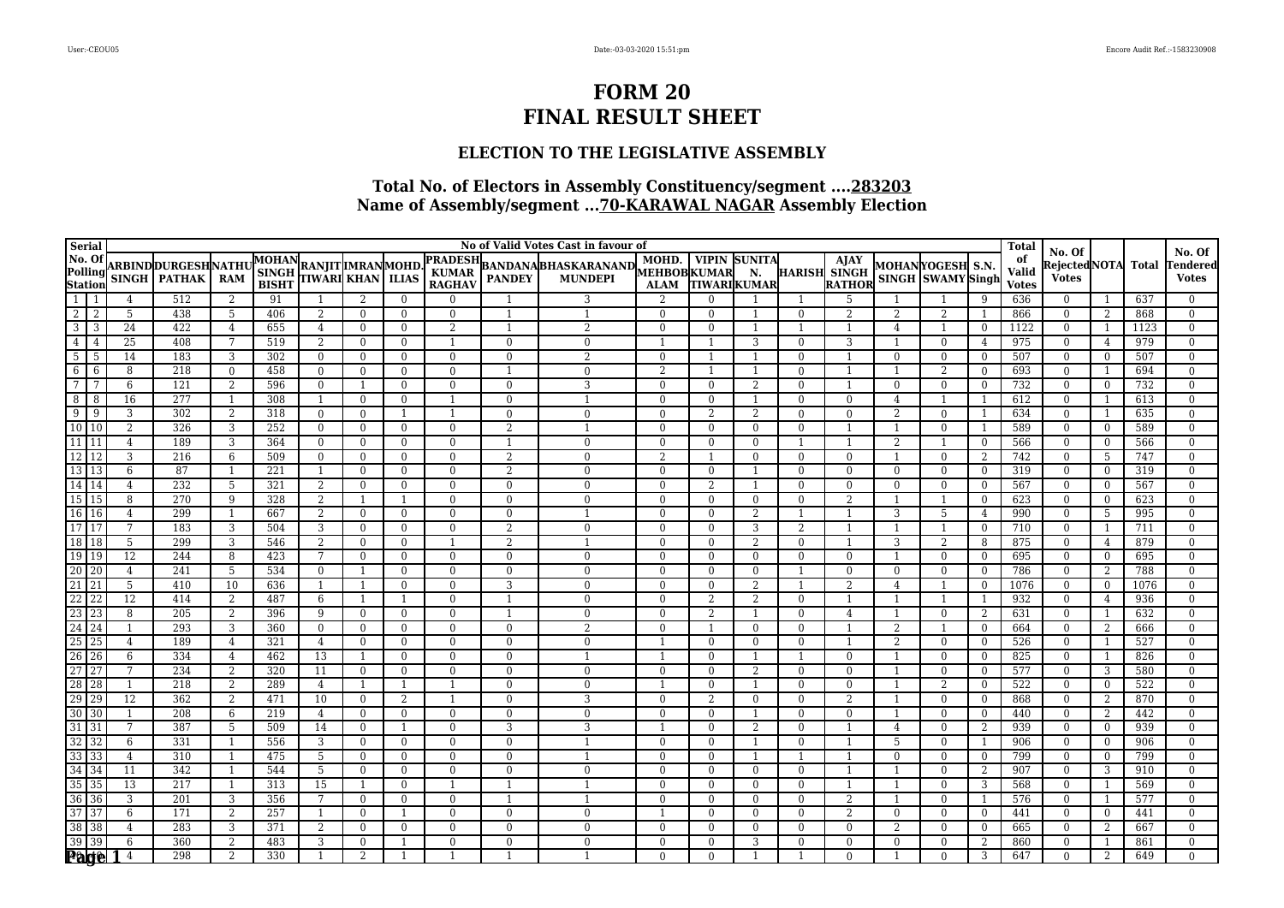### **ELECTION TO THE LEGISLATIVE ASSEMBLY**

| <b>Serial</b>                                                                     |                |                     |                           |                |              |                                                |                                |                            |                          |                          | No of Valid Votes Cast in favour of |                               |                          |                          |                                |                                    |                |                                       |                            | <b>Total</b> |                                |                |            |                                  |
|-----------------------------------------------------------------------------------|----------------|---------------------|---------------------------|----------------|--------------|------------------------------------------------|--------------------------------|----------------------------|--------------------------|--------------------------|-------------------------------------|-------------------------------|--------------------------|--------------------------|--------------------------------|------------------------------------|----------------|---------------------------------------|----------------------------|--------------|--------------------------------|----------------|------------|----------------------------------|
| No. Of<br>Polling<br>Station<br>$\frac{1}{1}$                                     |                |                     | <b>ARBINDDURGESHNATHU</b> |                | <b>MOHAN</b> |                                                |                                |                            | <b>PRADESH</b>           |                          |                                     | MOHD.                         |                          | <b>VIPIN SUNITA</b>      |                                | <b>A</b><br>HARISH SINGH<br>RATHOR |                |                                       |                            | of           | No. Of<br>Rejected NOTA  Total |                |            | No. Of<br>Tendered               |
|                                                                                   |                |                     | SINGH   PATHAK            | <b>RAM</b>     | <b>SINGH</b> | RANJIT  IMRAN  MOHD.<br> TIWARI  KHAN    ILIAS |                                |                            | <b>KUMAR</b>             |                          | BANDANA BHASKARANAND MUHD. VIPIN    |                               |                          | N.                       |                                |                                    |                | MOHANYOGESH S.N.<br>SINGH SWAMY Singh |                            | <b>Valid</b> | <b>Votes</b>                   |                |            | <b>Votes</b>                     |
|                                                                                   |                |                     |                           |                | <b>BISHT</b> |                                                |                                |                            | <b>RAGHAV</b>            |                          |                                     | <b>ALAM</b><br>$\overline{2}$ |                          | <b>TIWARIKUMAR</b>       |                                |                                    |                |                                       |                            | <b>Votes</b> |                                |                |            |                                  |
| $\boxed{2}$<br>-2                                                                 |                | 4<br>5              | 512<br>438                | 2<br>5         | 91<br>406    | -1<br>2                                        | 2<br>$\overline{0}$            | $\theta$<br>$\overline{0}$ | $\Omega$<br>$\Omega$     | $\mathbf{1}$             | 3<br>$\overline{1}$                 | $\theta$                      | $\Omega$<br>$\Omega$     | $\overline{1}$           | $\Omega$                       | 5<br>2                             | $\overline{2}$ | $\overline{2}$                        | -9<br>-1                   | 636<br>866   | $\Omega$<br>$\overline{0}$     | -1<br>2        | 637<br>868 | $\mathbf{0}$<br>$\overline{0}$   |
| $\boxed{3}$                                                                       | $\overline{3}$ | 24                  | 422                       | $\overline{4}$ | 655          | $\overline{4}$                                 | $\theta$                       | $\mathbf{0}$               | 2                        | $\overline{1}$           | 2                                   | $\Omega$                      | $\Omega$                 | $\overline{1}$           | $\overline{1}$                 | $\overline{1}$                     | $\overline{4}$ |                                       | $\theta$                   | 1122         | $\Omega$                       | 1              | 1123       | $\overline{0}$                   |
| 4<br>$\overline{4}$                                                               |                | 25                  | 408                       | 7              | 519          | 2                                              | $\overline{0}$                 | $\mathbf{0}$               | 1                        | $\mathbf{0}$             | $\Omega$                            |                               |                          | 3                        | $\overline{0}$                 | 3                                  |                | $\mathbf{0}$                          | 4                          | 975          | $\overline{0}$                 | $\overline{4}$ | 979        | $\overline{0}$                   |
| 5 <sup>1</sup><br>-5                                                              |                | 14                  | 183                       | 3              | 302          | $\mathbf{0}$                                   | $\theta$                       | $\overline{0}$             | $\Omega$                 | $\Omega$                 | $\overline{2}$                      | $\overline{0}$                |                          |                          | $\mathbf{0}$                   | $\overline{1}$                     | $\Omega$       | $\mathbf{0}$                          | $\overline{0}$             | 507          | $\overline{0}$                 | $\overline{0}$ | 507        | $\overline{0}$                   |
| $6\overline{6}$                                                                   | 6              | 8                   | 218                       | $\mathbf{0}$   | 458          | $\mathbf{0}$                                   | $\overline{0}$                 | $\mathbf{0}$               | $\mathbf{0}$             |                          | $\Omega$                            | $\overline{2}$                |                          |                          | $\overline{0}$                 | $\overline{1}$                     |                | 2                                     | $\overline{0}$             | 693          | $\overline{0}$                 | -1             | 694        | $\boldsymbol{0}$                 |
| $\overline{7}$                                                                    |                | 6                   | 121                       | 2              | 596          | $\overline{0}$                                 | $\mathbf{1}$                   | $\overline{0}$             | $\mathbf{0}$             | $\overline{0}$           | 3                                   | $\overline{0}$                | $\overline{0}$           | 2                        | $\overline{0}$                 | -1                                 | $\Omega$       | $\overline{0}$                        | $\mathbf{0}$               | 732          | $\overline{0}$                 | $\bf{0}$       | 732        | $\overline{0}$                   |
| 8                                                                                 | 8              | 16                  | 277                       | $\overline{1}$ | 308          | -1                                             | $\overline{0}$                 | $\mathbf{0}$               | $\mathbf{1}$             | $\overline{0}$           | $\overline{1}$                      | $\overline{0}$                | $\overline{0}$           | $\overline{1}$           | $\overline{0}$                 | $\mathbf{0}$                       | $\overline{4}$ |                                       | -1                         | 612          | $\overline{0}$                 | -1             | 613        | $\overline{0}$                   |
| $\overline{9}$<br>9                                                               |                | 3                   | 302                       | 2              | 318          | $\mathbf{0}$                                   | $\mathbf{0}$                   |                            | $\mathbf{1}$             | $\mathbf{0}$             | $\Omega$                            | $\theta$                      | 2                        | 2                        | $\mathbf{0}$                   | $\Omega$                           | $\overline{2}$ | $\Omega$                              |                            | 634          | $\Omega$                       |                | 635        | $\theta$                         |
| $\boxed{10}$ $\boxed{10}$                                                         |                | 2                   | 326                       | 3              | 252          | $\mathbf{0}$                                   | $\overline{0}$                 | $\overline{0}$             | $\mathbf{0}$             | $\overline{2}$           |                                     | $\overline{0}$                | $\overline{0}$           | $\overline{0}$           | $\mathbf{0}$                   | $\overline{1}$                     |                | $\overline{0}$                        | $\overline{1}$             | 589          | $\bf{0}$                       | $\overline{0}$ | 589        | $\overline{0}$                   |
| $\boxed{11}$ $\boxed{11}$                                                         |                | $\overline{4}$      | 189                       | 3              | 364          | $\overline{0}$                                 | $\Omega$                       | $\mathbf{0}$               | $\theta$                 | $\overline{1}$           | $\Omega$                            | $\Omega$                      | $\Omega$                 | $\theta$                 | $\overline{1}$                 | $\overline{1}$                     | 2              |                                       | $\overline{0}$             | 566          | $\Omega$                       | $\Omega$       | 566        | $\overline{0}$                   |
| $\boxed{12}$                                                                      |                | 3                   | 216                       | 6              | 509          | $\mathbf{0}$                                   | $\mathbf{0}$                   | $\mathbf{0}$               | $\mathbf{0}$             | $\overline{2}$           | $\Omega$                            | $\overline{2}$                |                          | $\Omega$                 | $\mathbf{0}$                   | $\Omega$                           |                | $\Omega$                              | 2                          | 742          | $\Omega$                       | 5              | 747        | $\theta$                         |
| $\frac{12}{13}$ $\frac{12}{13}$<br>$\frac{13}{14}$ $\frac{14}{14}$                |                | 6                   | 87                        | $\overline{1}$ | 221          | $\overline{1}$                                 | $\mathbf{0}$                   | $\overline{0}$             | $\mathbf{0}$             | 2                        | $\Omega$                            | $\overline{0}$                | $\overline{0}$           | $\overline{1}$           | $\mathbf{0}$                   | $\overline{0}$                     | $\mathbf{0}$   | $\overline{0}$                        | $\overline{0}$             | 319          | $\overline{0}$                 | $\overline{0}$ | 319        | $\overline{0}$                   |
|                                                                                   |                | $\overline{4}$      | $\overline{232}$          | 5              | 321          | 2                                              | $\theta$                       | $\theta$                   | $\theta$                 | $\theta$                 | $\Omega$                            | $\theta$                      | 2                        | $\overline{1}$           | $\Omega$                       | $\theta$                           | $\Omega$       | $\Omega$                              | $\Omega$                   | 567          | $\Omega$                       | $\Omega$       | 567        | $\overline{0}$                   |
| $\boxed{15}$                                                                      |                | 8                   | 270                       | 9              | 328          | 2                                              | $\mathbf{1}$                   | -1                         | $\overline{0}$           | $\overline{0}$           | $\Omega$                            | $\theta$                      | $\mathbf{0}$             | $\mathbf{0}$             | $\overline{0}$                 | $\overline{2}$                     |                |                                       | $\mathbf{0}$               | 623          | $\overline{0}$                 | $\overline{0}$ | 623        | $\theta$                         |
| $\frac{16}{17}$ $\frac{16}{17}$                                                   |                | $\overline{4}$      | 299                       | $\overline{1}$ | 667          | $\overline{2}$                                 | $\overline{0}$                 | $\overline{0}$             | $\bf{0}$                 | $\mathbf{0}$             | $\overline{1}$                      | $\overline{0}$                | $\overline{0}$           | 2                        | $\overline{1}$                 | $\overline{1}$                     | 3              | 5                                     | 4                          | 990          | $\overline{0}$                 | -5             | 995        | $\overline{0}$                   |
|                                                                                   |                | $\overline{7}$      | $\overline{183}$          | 3              | 504          | $\overline{3}$                                 | $\mathbf{0}$                   | $\overline{0}$             | $\overline{0}$           | $\overline{2}$           | $\Omega$                            | $\overline{0}$                | $\Omega$                 | 3                        | 2                              | $\overline{\mathbf{1}}$            |                |                                       | $\overline{0}$             | 710          | $\overline{0}$                 | -1             | 711        | $\overline{0}$                   |
| 18 18<br>$\boxed{19}$ $\boxed{19}$                                                |                | 5                   | 299                       | 3              | 546          | 2                                              | $\overline{0}$                 | $\mathbf{0}$               | 1                        | 2                        |                                     | $\theta$                      | $\mathbf{0}$             | 2                        | $\overline{0}$                 |                                    | 3              | 2                                     | 8                          | 875          | $\mathbf{0}$                   | $\overline{4}$ | 879        | $\theta$                         |
| $\overline{20}$ $\overline{20}$                                                   |                | $\overline{12}$     | 244<br>241                | 8<br>5         | 423<br>534   | 7<br>$\theta$                                  | $\mathbf{0}$<br>$\overline{1}$ | $\overline{0}$<br>$\theta$ | $\mathbf{0}$<br>$\theta$ | $\mathbf{0}$<br>$\theta$ | $\Omega$<br>$\Omega$                | $\overline{0}$<br>$\Omega$    | $\mathbf{0}$<br>$\Omega$ | $\mathbf{0}$<br>$\Omega$ | $\mathbf{0}$<br>$\overline{1}$ | $\mathbf{0}$<br>$\Omega$           |                | $\overline{0}$<br>$\Omega$            | $\overline{0}$<br>$\theta$ | 695<br>786   | $\overline{0}$<br>$\Omega$     | $\bf{0}$       | 695<br>788 | $\overline{0}$<br>$\overline{0}$ |
| $\boxed{21}$ $\boxed{21}$                                                         |                | $\overline{4}$<br>5 | 410                       | 10             | 636          | -1                                             | $\overline{1}$                 | $\mathbf{0}$               | $\overline{0}$           | 3                        | $\Omega$                            | $\theta$                      | $\Omega$                 | $\overline{2}$           |                                | 2                                  | $\overline{4}$ |                                       | $\overline{0}$             | 1076         | $\Omega$                       | 2<br>$\Omega$  | 1076       | $\overline{0}$                   |
|                                                                                   |                | 12                  | 414                       | 2              | 487          | 6                                              | 1                              |                            | $\overline{0}$           |                          | $\Omega$                            | $\overline{0}$                | 2                        | 2                        | $\overline{0}$                 | $\overline{\mathbf{1}}$            |                |                                       | -1                         | 932          | $\overline{0}$                 | $\overline{4}$ | 936        | $\boldsymbol{0}$                 |
| $\begin{array}{ c c }\n\hline\n22 & 22 \\ \hline\n23 & 23 \\ \hline\n\end{array}$ |                | 8                   | 205                       | 2              | 396          | 9                                              | $\theta$                       | $\mathbf{0}$               | $\mathbf{0}$             |                          | $\Omega$                            | $\Omega$                      | 2                        |                          | $\overline{0}$                 | $\overline{4}$                     |                | $\Omega$                              | 2                          | 631          | $\Omega$                       |                | 632        | $\Omega$                         |
| 24 24                                                                             |                |                     | 293                       | 3              | 360          | $\overline{0}$                                 | $\overline{0}$                 | $\mathbf{0}$               | $\mathbf{0}$             | $\overline{0}$           |                                     | $\theta$                      |                          | $\Omega$                 | $\overline{0}$                 |                                    | $\overline{2}$ |                                       | $\overline{0}$             | 664          | $\overline{0}$                 | 2              | 666        | $\overline{0}$                   |
|                                                                                   |                | 4                   | 189                       | 4              | 321          | 4                                              | $\mathbf{0}$                   | $\bf{0}$                   | $\mathbf{0}$             | $\mathbf{0}$             | $\overline{0}$                      |                               | $\mathbf{0}$             | $\mathbf{0}$             | $\overline{0}$                 | -1                                 | 2              | $\mathbf{0}$                          | $\bf{0}$                   | 526          | $\mathbf{0}$                   | 1              | 527        | $\Omega$                         |
| $\frac{25}{26}$ $\frac{25}{26}$                                                   |                | 6                   | 334                       | 4              | 462          | 13                                             | $\overline{1}$                 | $\mathbf{0}$               | $\mathbf{0}$             | $\theta$                 |                                     |                               | $\Omega$                 |                          |                                | $\Omega$                           |                | $\mathbf{0}$                          | $\overline{0}$             | 825          | $\overline{0}$                 | -1             | 826        | $\mathbf{0}$                     |
| $\overline{27}$                                                                   | 27             | 7                   | 234                       | $\overline{2}$ | 320          | 11                                             | $\overline{0}$                 | $\overline{0}$             | $\mathbf{0}$             | $\overline{0}$           | $\Omega$                            | $\theta$                      | $\Omega$                 | 2                        | $\mathbf{0}$                   | $\Omega$                           |                | $\overline{0}$                        | $\theta$                   | 577          | $\overline{0}$                 | 3              | 580        | $\overline{0}$                   |
| 28 28                                                                             |                | $\mathbf{1}$        | 218                       | 2              | 289          | $\overline{4}$                                 | $\mathbf{1}$                   |                            |                          | $\Omega$                 | $\Omega$                            |                               | $\Omega$                 | $\overline{1}$           | $\Omega$                       | $\Omega$                           |                | $\overline{2}$                        | $\overline{0}$             | 522          | $\Omega$                       | $\overline{0}$ | 522        | $\overline{0}$                   |
| 29 29                                                                             |                | $\overline{12}$     | 362                       | 2              | 471          | 10                                             | $\mathbf{0}$                   | 2                          |                          | $\Omega$                 | 3                                   | $\Omega$                      | $\overline{2}$           | $\mathbf{0}$             | $\mathbf{0}$                   | $\mathfrak{D}$                     |                | $\Omega$                              | $\overline{0}$             | 868          | $\Omega$                       | 2              | 870        | $\theta$                         |
| $30 \overline{)30}$                                                               |                | $\mathbf{1}$        | 208                       | 6              | 219          | 4                                              | $\theta$                       | $\overline{0}$             | $\Omega$                 | $\overline{0}$           | $\Omega$                            | $\theta$                      | $\Omega$                 |                          | $\Omega$                       | $\Omega$                           |                | $\overline{0}$                        | $\mathbf{0}$               | 440          | $\overline{0}$                 | 2              | 442        | $\overline{0}$                   |
| $31\overline{)31}$                                                                |                | 7                   | 387                       | $\overline{5}$ | 509          | 14                                             | $\overline{0}$                 | 1                          | $\mathbf{0}$             | 3                        | 3                                   |                               | $\Omega$                 | 2                        | $\overline{0}$                 | $\overline{1}$                     | $\overline{4}$ | $\mathbf{0}$                          | 2                          | 939          | $\overline{0}$                 | $\overline{0}$ | 939        | $\overline{0}$                   |
| $\begin{array}{ c c }\n\hline\n32 & 32 \\ \hline\n33 & 33 \\ \hline\n\end{array}$ |                | 6                   | 331                       | -1             | 556          | 3                                              | $\overline{0}$                 | $\mathbf{0}$               | $\mathbf{0}$             | $\overline{0}$           |                                     | $\overline{0}$                | $\mathbf{0}$             | $\overline{1}$           | $\overline{0}$                 | $\overline{\mathbf{1}}$            | 5              | $\mathbf{0}$                          | -1                         | 906          | $\mathbf{0}$                   | $\overline{0}$ | 906        | $\overline{0}$                   |
|                                                                                   |                | 4                   | 310                       | $\overline{1}$ | 475          | 5                                              | $\mathbf{0}$                   | $\bf{0}$                   | $\mathbf{0}$             | $\mathbf{0}$             | $\overline{\phantom{a}}$            | $\theta$                      | $\mathbf{0}$             |                          |                                |                                    | $\Omega$       | $\mathbf{0}$                          | $\overline{0}$             | 799          | $\overline{0}$                 | $\overline{0}$ | 799        | $\overline{0}$                   |
| $\overline{34}$                                                                   | 34             | 11                  | 342                       | $\overline{1}$ | 544          | 5                                              | $\overline{0}$                 | $\mathbf{0}$               | $\overline{0}$           | $\Omega$                 | $\Omega$                            | $\theta$                      | $\Omega$                 | $\overline{0}$           | $\Omega$                       | $\overline{1}$                     |                | $\Omega$                              | 2                          | 907          | $\Omega$                       | 3              | 910        | $\overline{0}$                   |
| $35 \overline{\smash)35}$                                                         |                | 13                  | 217                       | -1             | 313          | 15                                             | $\mathbf{1}$                   | $\overline{0}$             | 1                        |                          |                                     | $\Omega$                      | $\Omega$                 | $\overline{0}$           | $\overline{0}$                 | $\overline{1}$                     |                | $\mathbf{0}$                          | 3                          | 568          | $\overline{0}$                 | -1             | 569        | $\overline{0}$                   |
| $\frac{36}{36}$ $\frac{36}{37}$ $\frac{37}{37}$                                   |                | $\overline{3}$      | 201                       | $\overline{3}$ | 356          | $7\overline{ }$                                | $\theta$                       | $\mathbf{0}$               | $\Omega$                 | $\overline{1}$           | $\overline{1}$                      | $\overline{0}$                | $\Omega$                 | $\Omega$                 | $\mathbf{0}$                   | 2                                  |                | $\mathbf{0}$                          | -1                         | 576          | $\mathbf{0}$                   | -1             | 577        | $\overline{0}$                   |
|                                                                                   |                | 6                   | 171                       | 2              | 257          | $\overline{1}$                                 | $\theta$                       | $\overline{1}$             | $\mathbf{0}$             | $\Omega$                 | $\Omega$                            |                               | $\Omega$                 | $\Omega$                 | $\Omega$                       | 2                                  | $\Omega$       | $\Omega$                              | $\overline{0}$             | 441          | $\Omega$                       | $\overline{0}$ | 441        | $\theta$                         |
| 38 38                                                                             |                | $\overline{4}$      | 283<br>360                | 3              | 371          | 2                                              | $\theta$                       | $\overline{0}$             | $\Omega$                 | $\Omega$                 | $\Omega$                            | $\overline{0}$                | $\Omega$                 | $\overline{0}$           | $\Omega$                       | $\theta$                           | $\overline{2}$ | $\overline{0}$                        | $\overline{0}$             | 665          | $\Omega$                       | 2              | 667        | $\overline{0}$                   |
| $39 \mid 39$                                                                      |                | 6                   |                           | 2              | 483          | 3                                              | $\mathbf{0}$                   |                            | $\mathbf{0}$             | $\mathbf{0}$             | $\overline{0}$                      | $\overline{0}$<br>$\Omega$    | $\mathbf{0}$             | 3                        | $\mathbf{0}$                   | $\mathbf{0}$<br>$\Omega$           | $\theta$       | $\mathbf{0}$                          | 2                          | 860          | $\mathbf{0}$<br>$\Omega$       | -1             | 861        | $\overline{0}$<br>$\Omega$       |
| <b>Page</b>                                                                       |                | $\overline{4}$      | 298                       | 2              | 330          |                                                | 2                              |                            |                          |                          |                                     |                               | $\Omega$                 |                          |                                |                                    |                | $\Omega$                              | 3                          | 647          |                                | 2              | 649        |                                  |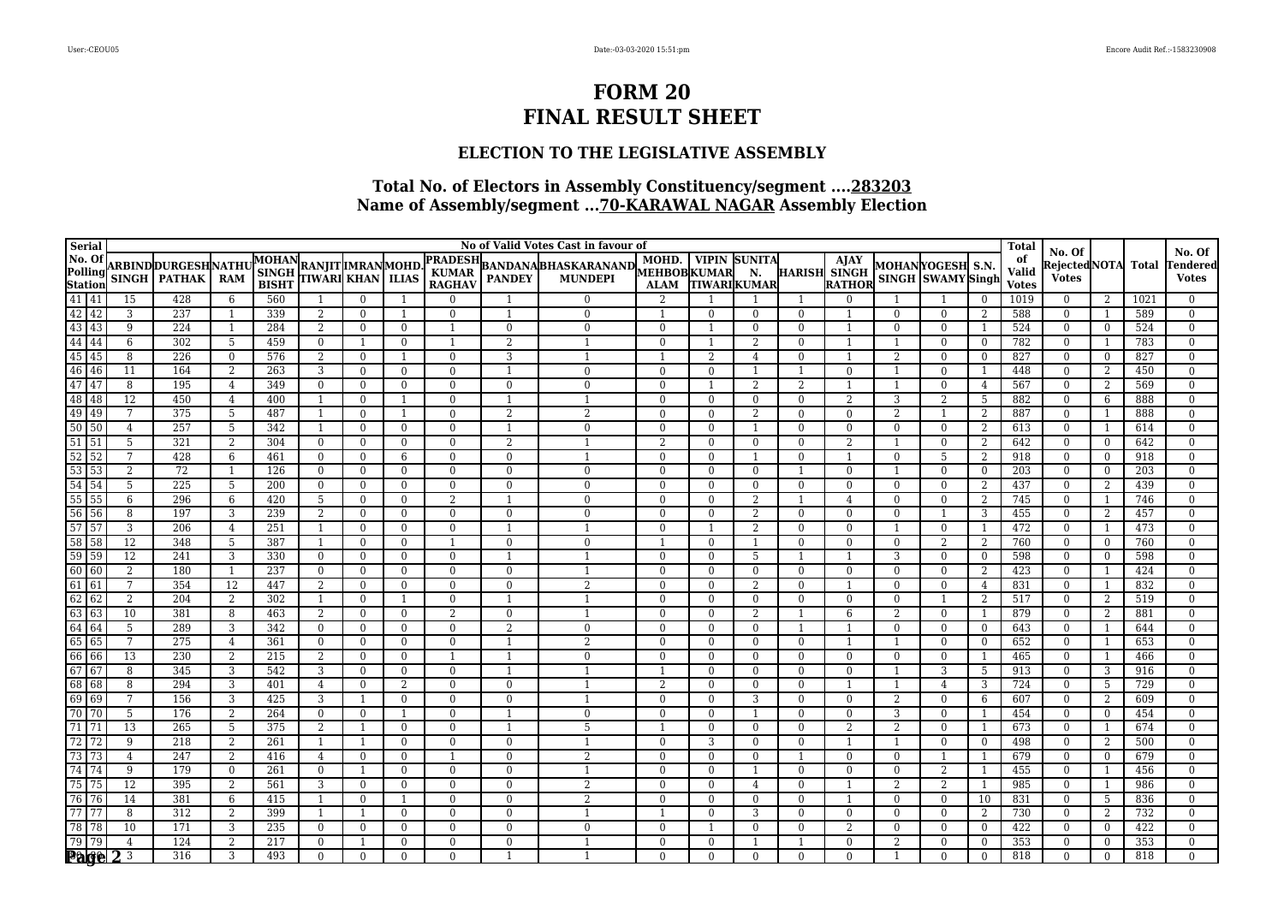### **ELECTION TO THE LEGISLATIVE ASSEMBLY**

| Serial                                                                          |                 |                           |                 |                                  |                        |                            |                                  |                               |                          | No of Valid Votes Cast in favour of                   |                            |                      |                            |                                  |                               |                            |                                |                     | <b>Total</b> | No. Of                       |                     |            | No. Of                           |
|---------------------------------------------------------------------------------|-----------------|---------------------------|-----------------|----------------------------------|------------------------|----------------------------|----------------------------------|-------------------------------|--------------------------|-------------------------------------------------------|----------------------------|----------------------|----------------------------|----------------------------------|-------------------------------|----------------------------|--------------------------------|---------------------|--------------|------------------------------|---------------------|------------|----------------------------------|
| No. Of<br>No. Of<br>Polling<br>Station<br>41 41<br>42 42<br>43 43               |                 | <b>ARBINDDURGESHNATHU</b> |                 | <b>MOHAN</b>                     | <b>RANJITIMRANMOHD</b> |                            |                                  | <b>PRADESH</b>                |                          | BANDANABHASKARANAND MOHD. VIPIN<br>  PANDEY   MUNDEPI | MOHD.                      |                      | <b>VIPIN SUNITA</b>        |                                  | <b>AJAY</b>                   |                            | MOHANYOGESH S.N.               |                     | of<br>Valid  | RejectedNOTA                 |                     | Total      | Tendered                         |
|                                                                                 | <b>SINGH</b>    | <b>PATHAK</b>             | <b>RAM</b>      | $\mathbf{SINGH}$<br><b>BISHT</b> | TIWARI KHAN            |                            | <b>ILIAS</b>                     | <b>KUMAR</b><br><b>RAGHAV</b> |                          |                                                       | <b>ALAM</b>                | <b>TIWARIKUMAR</b>   | N.                         |                                  | <b>HARISH SINGH</b><br>RATHOR |                            | SINGH SWAMY Singh              |                     | <b>Votes</b> | <b>Votes</b>                 |                     |            | <b>Votes</b>                     |
|                                                                                 | 15              | 428                       | 6               | 560                              | -1                     | $\mathbf{0}$               |                                  | $\mathbf{0}$                  |                          | $\Omega$                                              | $\overline{2}$             |                      |                            |                                  | $\Omega$                      |                            |                                | $\mathbf{0}$        | 1019         | $\bf{0}$                     | 2                   | 1021       | $\overline{0}$                   |
|                                                                                 | 3               | 237                       | -1              | 339                              | 2                      | $\mathbf{0}$               | 1                                | $\overline{0}$                | $\overline{1}$           | $\mathbf{0}$                                          | $\overline{1}$             | $\Omega$             | $\bf{0}$                   | $\overline{0}$                   | - 1                           | $\mathbf{0}$               | $\mathbf{0}$                   | 2                   | 588          | $\mathbf{0}$                 | -1                  | 589        | $\overline{0}$                   |
|                                                                                 | 9               | 224                       | $\overline{1}$  | 284                              | 2                      | $\mathbf{0}$               | $\overline{0}$                   |                               | $\mathbf{0}$             | $\Omega$                                              | $\Omega$                   |                      | $\theta$                   | $\Omega$                         | $\overline{1}$                | $\Omega$                   | $\overline{0}$                 |                     | 524          | $\mathbf{0}$                 | $\overline{0}$      | 524        | $\overline{0}$                   |
| $\frac{44}{44}$ $\frac{44}{45}$ $\frac{45}{46}$ $\frac{46}{47}$ $\frac{47}{47}$ | 6               | 302                       | 5               | 459                              | $\mathbf{0}$           | $\overline{1}$             | $\overline{0}$                   |                               | 2                        |                                                       | $\overline{0}$             |                      | 2                          | $\overline{0}$                   | -1                            |                            | $\overline{0}$                 | $\overline{0}$      | 782          | $\bf{0}$                     | - 1                 | 783        | $\overline{0}$                   |
|                                                                                 | 8               | 226                       | $\mathbf{0}$    | 576                              | 2                      | $\Omega$                   | $\mathbf{1}$                     | $\Omega$                      | 3                        |                                                       |                            | 2                    | $\overline{4}$             | $\overline{0}$                   | $\overline{1}$                | 2                          | $\overline{0}$                 | $\theta$            | 827          | $\mathbf{0}$                 | $\overline{0}$      | 827        | $\overline{0}$                   |
|                                                                                 | 11              | 164                       | 2               | 263                              | 3                      | $\mathbf{0}$               | $\overline{0}$                   | $\mathbf{0}$                  | $\overline{1}$           | $\Omega$                                              | $\theta$                   | $\Omega$             |                            |                                  | $\Omega$                      |                            | $\overline{0}$                 | - 1                 | 448          | $\theta$                     | 2                   | 450        | $\Omega$                         |
|                                                                                 | 8               | 195                       | 4               | 349                              | $\mathbf{0}$           | $\mathbf{0}$               | $\overline{0}$                   | $\mathbf{0}$                  | $\overline{0}$           | $\theta$                                              | $\mathbf{0}$               |                      | 2                          | $\overline{2}$                   | $\mathbf{1}$                  |                            | $\overline{0}$                 | $\overline{4}$      | 567          | $\overline{0}$               | 2                   | 569        | $\overline{0}$                   |
| $\frac{1}{48}$ 48                                                               | 12              | 450                       | $\overline{4}$  | 400                              | $\overline{1}$         | $\theta$                   |                                  | $\Omega$                      | $\overline{1}$           |                                                       | $\mathbf{0}$               | $\Omega$             | $\theta$                   | $\Omega$                         | 2                             | 3                          | 2                              | 5                   | 882          | $\overline{0}$               | 6                   | 888        | $\overline{0}$                   |
| 49 49                                                                           | 7               | 375                       | 5               | 487                              | $\overline{1}$         | $\theta$                   | $\mathbf{1}$                     | $\overline{0}$                | 2                        | $\mathfrak{D}$                                        | $\overline{0}$             | $\Omega$             | 2                          | $\Omega$                         | $\Omega$                      | 2                          |                                | 2                   | 887          | $\mathbf{0}$                 | -1                  | 888        | $\overline{0}$                   |
| $50 \overline{)50}$                                                             | $\overline{4}$  | 257                       | 5               | 342                              | $\overline{1}$         | $\mathbf{0}$               | $\overline{0}$                   | $\mathbf{0}$                  | $\overline{1}$           | $\mathbf{0}$                                          | $\mathbf{0}$               | $\Omega$             | $\overline{1}$             | $\overline{0}$                   | $\Omega$                      | $\mathbf{0}$               | $\overline{0}$                 | 2                   | 613          | $\overline{0}$               | -1                  | 614        | $\overline{0}$                   |
| $\frac{1}{51}$ 51                                                               | 5               | 321                       | 2               | 304                              | $\mathbf{0}$           | $\theta$                   | $\overline{0}$                   | $\Omega$                      | 2                        |                                                       | $\overline{2}$             | $\Omega$             | $\Omega$                   | $\overline{0}$                   | 2                             |                            | $\overline{0}$                 | 2                   | 642          | $\mathbf{0}$                 | $\overline{0}$      | 642        | $\overline{0}$                   |
| $\frac{1}{52}$ 52                                                               | 7               | 428                       | 6               | 461                              | $\Omega$               | $\theta$                   | 6                                | $\Omega$                      | $\Omega$                 |                                                       | $\mathbf{0}$               | $\Omega$             |                            | $\Omega$                         | $\overline{1}$                | $\overline{0}$             | 5                              | 2                   | 918          | $\mathbf{0}$                 | $\overline{0}$      | 918        | $\overline{0}$                   |
| $\frac{53}{53}$ $\frac{53}{54}$ $\frac{53}{54}$                                 | 2<br>5          | 72<br>225                 | -1<br>5         | 126<br>$\overline{200}$          | $\theta$               | $\Omega$                   | $\mathbf{0}$                     | $\mathbf{0}$<br>$\mathbf{0}$  | $\Omega$<br>$\mathbf{0}$ | $\mathbf{0}$<br>$\Omega$                              | $\overline{0}$<br>$\Omega$ | $\Omega$<br>$\Omega$ | $\theta$                   | $\overline{1}$                   | $\Omega$<br>$\Omega$          | $\mathbf{1}$<br>$\Omega$   | $\mathbf{0}$<br>$\overline{0}$ | $\overline{0}$<br>2 | 203<br>437   | $\mathbf{0}$<br>$\mathbf{0}$ | $\overline{0}$<br>2 | 203<br>439 | $\Omega$                         |
| $\overline{55}$<br>55                                                           | 6               | 296                       | 6               | 420                              | $\overline{0}$<br>5    | $\mathbf{0}$<br>$\theta$   | $\overline{0}$<br>$\overline{0}$ | $\overline{2}$                |                          | $\Omega$                                              | $\bf{0}$                   | $\Omega$             | $\Omega$<br>$\overline{2}$ | $\overline{0}$                   | 4                             | $\bf{0}$                   | $\overline{0}$                 | 2                   | 745          | $\overline{0}$               | - 1                 | 746        | $\overline{0}$<br>$\overline{0}$ |
| $\begin{array}{ c c c }\n\hline\n56 & 56 \\ \hline\n\end{array}$                | 8               | 197                       | 3               | 239                              | 2                      | $\mathbf{0}$               | $\mathbf{0}$                     | $\overline{0}$                | $\Omega$                 | $\overline{0}$                                        | $\Omega$                   | $\Omega$             | 2                          | $\overline{0}$                   | $\Omega$                      | $\mathbf{0}$               |                                | 3                   | 455          | $\mathbf{0}$                 | 2                   | 457        | $\overline{0}$                   |
| $\boxed{57}$                                                                    | 3               | 206                       | 4               | 251                              | $\overline{1}$         | $\mathbf{0}$               | $\mathbf{0}$                     | $\mathbf{0}$                  |                          |                                                       | $\Omega$                   |                      | 2                          | $\overline{0}$                   | $\Omega$                      |                            | $\overline{0}$                 | -1                  | 472          | $\bf{0}$                     | -1                  | 473        | $\overline{0}$                   |
| 58 58                                                                           | 12              | 348                       | 5               | 387                              | $\overline{1}$         | $\mathbf{0}$               | $\overline{0}$                   | $\mathbf{1}$                  | $\overline{0}$           | $\Omega$                                              |                            | $\Omega$             |                            | $\overline{0}$                   | $\Omega$                      | $\bf{0}$                   | 2                              | 2                   | 760          | $\overline{0}$               | $\overline{0}$      | 760        | $\overline{0}$                   |
| $\overline{59}$ 59                                                              | $\overline{12}$ | 241                       | 3               | 330                              | $\mathbf{0}$           | $\overline{0}$             | $\mathbf{0}$                     | $\mathbf{0}$                  | $\overline{1}$           |                                                       | $\mathbf{0}$               | $\Omega$             | 5                          | $\overline{1}$                   | $\mathbf{1}$                  | 3                          | $\overline{0}$                 | $\overline{0}$      | 598          | $\overline{0}$               | $\overline{0}$      | 598        | $\overline{0}$                   |
| 60 60                                                                           | 2               | 180                       | -1              | 237                              | $\overline{0}$         | $\overline{0}$             | $\mathbf{0}$                     | $\overline{0}$                | $\overline{0}$           |                                                       | $\mathbf{0}$               | $\Omega$             | $\mathbf{0}$               | $\overline{0}$                   | $\mathbf{0}$                  | $\mathbf{0}$               | $\mathbf{0}$                   | 2                   | 423          | $\mathbf{0}$                 | -1                  | 424        | $\overline{0}$                   |
| $61$ 61                                                                         | 7               | 354                       | $\overline{12}$ | 447                              | 2                      | $\mathbf{0}$               | $\overline{0}$                   | $\Omega$                      | $\mathbf{0}$             | $\overline{2}$                                        | $\mathbf{0}$               | $\Omega$             | $\overline{2}$             | $\Omega$                         | $\overline{1}$                | $\theta$                   | $\overline{0}$                 | $\overline{4}$      | 831          | $\mathbf{0}$                 | -1                  | 832        | $\overline{0}$                   |
| 62 62                                                                           | 2               | 204                       | 2               | 302                              | $\overline{1}$         | $\theta$                   |                                  | $\overline{0}$                |                          |                                                       | $\Omega$                   | $\Omega$             | $\Omega$                   | $\overline{0}$                   | $\Omega$                      | $\Omega$                   |                                | 2                   | 517          | $\theta$                     | 2                   | 519        | $\Omega$                         |
| 63 63                                                                           | 10              | 381                       | 8               | 463                              | 2                      | $\theta$                   | $\mathbf{0}$                     | $\overline{2}$                | $\theta$                 |                                                       | $\mathbf{0}$               | $\Omega$             | 2                          | -1                               | 6                             | 2                          | $\overline{0}$                 | $\overline{1}$      | 879          | $\overline{0}$               | 2                   | 881        | $\overline{0}$                   |
| 64 64                                                                           | 5               | 289                       | 3               | 342                              | $\mathbf{0}$           | $\Omega$                   | $\overline{0}$                   | $\Omega$                      | 2                        | $\Omega$                                              | $\Omega$                   | $\Omega$             | $\Omega$                   | -1                               | -1                            | $\Omega$                   | $\overline{0}$                 | $\overline{0}$      | 643          | $\mathbf{0}$                 | -1                  | 644        | $\overline{0}$                   |
| 65 65                                                                           | 7               | 275                       | $\overline{4}$  | 361                              | $\Omega$               | $\theta$                   | $\overline{0}$                   | $\overline{0}$                | $\overline{1}$           | 2                                                     | $\Omega$                   | $\Omega$             | $\Omega$                   | $\overline{0}$                   | $\overline{1}$                |                            | $\Omega$                       | $\overline{0}$      | 652          | $\overline{0}$               | -1                  | 653        | $\Omega$                         |
| 66 66                                                                           | 13              | 230                       | 2               | $\overline{215}$                 | 2                      | $\theta$                   | $\mathbf{0}$                     |                               |                          | $\Omega$                                              | $\overline{0}$             | $\Omega$             | $\Omega$                   | $\theta$                         | $\Omega$                      | $\mathbf{0}$               | $\mathbf{0}$                   | - 1                 | 465          | $\bf{0}$                     | $\overline{1}$      | 466        | $\overline{0}$                   |
| $6767$                                                                          | 8               | 345                       | 3               | 542                              | 3                      | $\mathbf{0}$               | $\mathbf{0}$                     | $\overline{0}$                | $\overline{1}$           |                                                       |                            | $\Omega$             | $\mathbf{0}$               | $\overline{0}$                   | $\mathbf{0}$                  |                            | 3                              | - 5                 | 913          | $\mathbf{0}$                 | 3                   | 916        | $\overline{0}$                   |
| 68 68                                                                           | 8               | 294                       | 3               | 401                              | $\overline{4}$         | $\mathbf{0}$               | 2                                | $\overline{0}$                | $\Omega$                 |                                                       | $\overline{2}$             | $\Omega$             | $\theta$                   | $\Omega$                         |                               |                            | 4                              | 3                   | 724          | $\Omega$                     | 5                   | 729        | $\Omega$                         |
| 69 69                                                                           | 7               | 156                       | 3               | 425                              | 3                      | $\overline{1}$             | $\overline{0}$                   | $\overline{0}$                | $\overline{0}$           |                                                       | $\bf{0}$                   | $\overline{0}$       | 3                          | $\overline{0}$                   | $\overline{0}$                | 2                          | $\overline{0}$                 | 6                   | 607          | $\bf{0}$                     | 2                   | 609        | $\overline{0}$                   |
| 70 70                                                                           | $\overline{5}$  | 176                       | $\overline{2}$  | 264                              | $\mathbf{0}$           | $\mathbf{0}$               |                                  | $\overline{0}$                | $\overline{1}$           | $\Omega$                                              | $\overline{0}$             | $\Omega$             |                            | $\overline{0}$                   | $\Omega$                      | $\overline{3}$             | $\overline{0}$                 | -1                  | 454          | $\mathbf{0}$                 | $\overline{0}$      | 454        | $\overline{0}$                   |
| $\boxed{71}$                                                                    | 13              | 265                       | 5               | 375                              | 2                      | $\overline{1}$             | $\overline{0}$                   | $\overline{0}$                |                          | 5                                                     |                            | $\Omega$             | $\theta$                   | $\Omega$                         | $\overline{2}$                | 2                          | $\overline{0}$                 |                     | 673          | $\overline{0}$               | -1                  | 674        | $\Omega$                         |
| 72 72                                                                           | 9               | 218                       | 2               | 261                              | $\overline{1}$         | 1                          | $\overline{0}$                   | $\mathbf{0}$                  | $\overline{0}$           |                                                       | $\Omega$                   | 3                    | $\Omega$                   | $\overline{0}$                   | $\mathbf{1}$                  |                            | $\overline{0}$                 | $\bf{0}$            | 498          | $\bf{0}$                     | 2                   | 500        | $\overline{0}$                   |
| 73 73                                                                           | $\overline{4}$  | 247                       | 2               | 416                              | $\overline{4}$         | $\theta$                   | $\overline{0}$                   | $\mathbf{1}$                  | $\Omega$                 | 2                                                     | $\mathbf{0}$               | $\Omega$             | $\Omega$                   |                                  | $\Omega$                      | $\Omega$                   |                                |                     | 679          | $\mathbf{0}$                 | $\Omega$            | 679        | $\Omega$                         |
| 74 74                                                                           | 9               | 179                       | $\mathbf{0}$    | 261                              | $\overline{0}$         | $\overline{1}$             | $\overline{0}$                   | $\overline{0}$                | $\Omega$                 |                                                       | $\mathbf{0}$               | $\Omega$             |                            | $\overline{0}$                   | $\Omega$                      | $\overline{0}$             | 2                              | - 1                 | 455          | $\mathbf{0}$                 | -1                  | 456        | $\overline{0}$                   |
| 75 75<br>76 76                                                                  | 12<br>14        | 395<br>381                | 2               | 561                              | 3<br>$\overline{1}$    | $\overline{0}$<br>$\Omega$ | $\overline{0}$                   | $\mathbf{0}$<br>$\Omega$      | $\Omega$<br>$\Omega$     | 2<br>$\overline{2}$                                   | $\Omega$<br>$\Omega$       | $\Omega$<br>$\Omega$ | $\overline{4}$<br>$\Omega$ | $\overline{0}$                   | -1<br>$\overline{1}$          | $\overline{2}$<br>$\Omega$ | 2<br>$\Omega$                  | -1                  | 985          | $\mathbf{0}$                 | -1                  | 986        | $\overline{0}$                   |
| $\overline{77}$<br>77                                                           | 8               | 312                       | 6<br>2          | 415<br>399                       | $\overline{1}$         | $\mathbf{1}$               | $\overline{0}$                   | $\mathbf{0}$                  | $\Omega$                 |                                                       |                            | $\Omega$             | 3                          | $\overline{0}$<br>$\overline{0}$ | $\Omega$                      | $\overline{0}$             | $\overline{0}$                 | 10<br>2             | 831<br>730   | $\mathbf{0}$<br>$\bf{0}$     | 5<br>2              | 836<br>732 | $\overline{0}$<br>$\overline{0}$ |
| 78 78                                                                           | 10              | 171                       | 3               | 235                              | $\overline{0}$         | $\overline{0}$             | $\overline{0}$                   | $\Omega$                      | $\Omega$                 | $\mathbf{0}$                                          | $\Omega$                   |                      | $\Omega$                   | $\theta$                         | 2                             | $\mathbf{0}$               | $\overline{0}$                 | $\overline{0}$      | 422          | $\mathbf{0}$                 | $\overline{0}$      | 422        | $\Omega$                         |
| 79 79                                                                           | $\overline{4}$  | 124                       | 2               | 217                              | $\Omega$               | $\overline{1}$             | $\Omega$                         | $\overline{0}$                | $\Omega$                 |                                                       | $\Omega$                   | $\Omega$             |                            |                                  | $\Omega$                      | 2                          | $\Omega$                       | $\theta$            | 353          | $\mathbf{0}$                 | $\overline{0}$      | 353        | $\Omega$                         |
| Page $23$                                                                       |                 | 316                       | 3               | 493                              | $\Omega$               | $\Omega$                   | $\overline{0}$                   | $\overline{0}$                |                          |                                                       | $\Omega$                   | $\Omega$             | $\Omega$                   | $\mathbf{0}$                     | $\Omega$                      |                            | $\overline{0}$                 | $\Omega$            | 818          | $\overline{0}$               | $\overline{0}$      | 818        | $\Omega$                         |
|                                                                                 |                 |                           |                 |                                  |                        |                            |                                  |                               |                          |                                                       |                            |                      |                            |                                  |                               |                            |                                |                     |              |                              |                     |            |                                  |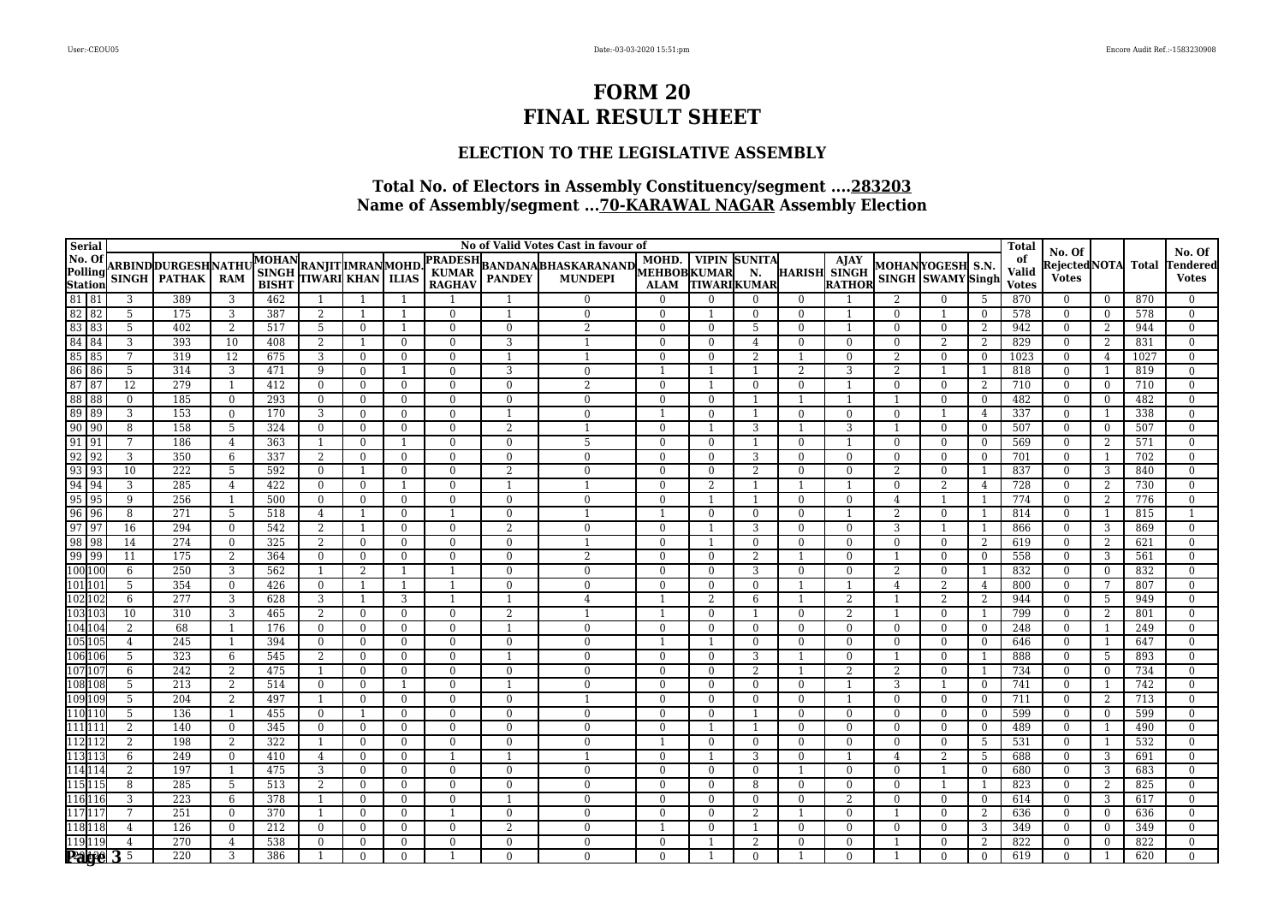### **ELECTION TO THE LEGISLATIVE ASSEMBLY**

| <b>Serial</b>                                                                                                                                                                                               |                 |                           |                         |                  |                         |                      |                   |                |                | No of Valid Votes Cast in favour of |                      |                            |                     |                      |                                    |                |                                       |                      | <b>Total</b> |                                |                      |            |                                    |
|-------------------------------------------------------------------------------------------------------------------------------------------------------------------------------------------------------------|-----------------|---------------------------|-------------------------|------------------|-------------------------|----------------------|-------------------|----------------|----------------|-------------------------------------|----------------------|----------------------------|---------------------|----------------------|------------------------------------|----------------|---------------------------------------|----------------------|--------------|--------------------------------|----------------------|------------|------------------------------------|
| No. Of<br>Polling<br>Station<br>81 81                                                                                                                                                                       |                 | <b>ARBINDDURGESHNATHU</b> |                         | <b>MOHAN</b>     | <b>RANJIT IMRANMOHD</b> |                      |                   | <b>PRADESH</b> |                |                                     | MOHD.                |                            | <b>VIPIN SUNITA</b> |                      | <b>A</b><br>HARISH SINGH<br>RATHOR |                |                                       |                      | of           | No. Of<br>Rejected NOTA  Total |                      |            | No. Of<br>Tendered                 |
|                                                                                                                                                                                                             |                 | SINGH   PATHAK            | <b>RAM</b>              | $\mathbf{SINGH}$ | TIWARI KHAN             |                      | <b>ILIAS</b>      | <b>KUMAR</b>   |                | BANDANA BHASKARANAND MUHD. VIPIN    |                      |                            | N.                  |                      |                                    |                | MOHANYOGESH S.N.<br>SINGH SWAMY Singh |                      | Valid        | <b>Votes</b>                   |                      |            | <b>Votes</b>                       |
|                                                                                                                                                                                                             |                 |                           |                         | <b>BISHT</b>     |                         |                      |                   | <b>RAGHAV</b>  |                |                                     | <b>ALAM</b>          |                            | <b>TIWARIKUMAR</b>  |                      |                                    |                |                                       |                      | <b>Votes</b> |                                |                      |            |                                    |
| 82 82                                                                                                                                                                                                       | 3<br>5          | 389<br>175                | 3<br>3                  | 462<br>387       | -1<br>2                 | -1<br>$\overline{1}$ | $\mathbf{1}$      | $\Omega$       | $\mathbf{1}$   | $\Omega$<br>$\Omega$                | $\theta$<br>$\Omega$ | $\Omega$                   | 0<br>$\mathbf{0}$   | $\Omega$<br>$\Omega$ | $\mathbf{1}$                       | $\Omega$       | $\Omega$                              | -5<br>$\overline{0}$ | 870<br>578   | $\mathbf{0}$<br>$\overline{0}$ | $\bf{0}$<br>$\Omega$ | 870<br>578 | $\mathbf{0}$<br>$\overline{0}$     |
| 83 83                                                                                                                                                                                                       | 5               | 402                       | 2                       | 517              | 5                       | $\mathbf{0}$         | $\mathbf{1}$      | $\Omega$       | $\theta$       | $\overline{2}$                      | $\Omega$             | $\Omega$                   | 5                   | $\Omega$             | $\overline{1}$                     | $\Omega$       | $\mathbf{0}$                          | 2                    | 942          | $\Omega$                       | 2                    | 944        | $\overline{0}$                     |
| 84 84                                                                                                                                                                                                       | 3               | 393                       | 10                      | 408              | 2                       | $\overline{1}$       | $\mathbf{0}$      | $\mathbf{0}$   | 3              |                                     | $\Omega$             | $\Omega$                   | $\overline{4}$      | $\overline{0}$       | $\theta$                           | $\Omega$       | $\overline{2}$                        | 2                    | 829          | $\overline{0}$                 | 2                    | 831        | $\overline{0}$                     |
| 85 85                                                                                                                                                                                                       | 7               | 319                       | 12                      | 675              | 3                       | $\overline{0}$       | $\mathbf{0}$      | $\Omega$       | $\overline{1}$ | $\overline{1}$                      | $\Omega$             | $\Omega$                   | 2                   |                      | $\Omega$                           | $\mathfrak{D}$ | $\overline{0}$                        | $\overline{0}$       | 1023         | $\overline{0}$                 | $\overline{4}$       | 1027       | $\overline{0}$                     |
| 86 86                                                                                                                                                                                                       | 5               | 314                       | 3                       | 471              | 9                       | $\overline{0}$       |                   | $\mathbf{0}$   | 3              | $\Omega$                            |                      |                            |                     | $\overline{2}$       | 3                                  | 2              |                                       | - 1                  | 818          | $\overline{0}$                 |                      | 819        | $\boldsymbol{0}$                   |
| 87 87                                                                                                                                                                                                       | 12              | 279                       | $\overline{1}$          | 412              | $\overline{0}$          | $\overline{0}$       | $\overline{0}$    | $\mathbf{0}$   | $\overline{0}$ |                                     | $\overline{0}$       |                            | $\mathbf{0}$        | $\overline{0}$       | $\overline{1}$                     | $\Omega$       | $\overline{0}$                        | 2                    | 710          | $\overline{0}$                 | $\bf{0}$             | 710        | $\overline{0}$                     |
| 88 88                                                                                                                                                                                                       | $\mathbf{0}$    | 185                       | $\mathbf{0}$            | 293              | $\mathbf{0}$            | $\overline{0}$       | $\mathbf{0}$      | $\mathbf{0}$   | $\overline{0}$ | $\mathbf{0}$                        | $\overline{0}$       | $\overline{0}$             | $\overline{1}$      | $\overline{1}$       | $\overline{1}$                     |                | $\mathbf{0}$                          | $\overline{0}$       | 482          | $\overline{0}$                 | $\overline{0}$       | 482        | $\overline{0}$                     |
|                                                                                                                                                                                                             | 3               | 153                       | $\mathbf{0}$            | 170              | 3                       | $\mathbf{0}$         | $\overline{0}$    | $\mathbf{0}$   |                | $\Omega$                            |                      | $\Omega$                   |                     | $\overline{0}$       | $\Omega$                           |                |                                       | $\overline{4}$       | 337          | $\Omega$                       |                      | 338        | $\theta$                           |
|                                                                                                                                                                                                             | $\, 8$          | 158                       | 5                       | 324              | $\bf{0}$                | $\overline{0}$       | $\overline{0}$    | $\mathbf{0}$   | $\overline{2}$ |                                     | $\overline{0}$       |                            | 3                   |                      | 3                                  |                | $\overline{0}$                        | $\overline{0}$       | 507          | $\bf{0}$                       | $\overline{0}$       | 507        | $\overline{0}$                     |
| $\begin{array}{r}\n 09090 \\  \hline\n 9090 \\  \hline\n 9191 \\  \hline\n 9292 \\  \hline\n 9393 \\  \hline\n 9494 \\  \hline\n 9595 \\  \hline\n 9696 \\  \hline\n 9797 \\  \hline\n 99899\n \end{array}$ | 7               | 186                       | $\overline{4}$          | 363              | -1                      | $\Omega$             |                   | $\theta$       | $\theta$       | 5                                   | $\Omega$             | $\Omega$                   | $\overline{1}$      | $\Omega$             | $\overline{1}$                     | $\Omega$       | $\mathbf{0}$                          | $\Omega$             | 569          | $\Omega$                       | -2                   | 571        | $\overline{0}$                     |
|                                                                                                                                                                                                             | 3               | 350                       | 6                       | 337              | $\overline{2}$          | $\mathbf{0}$         | $\mathbf{0}$      | $\mathbf{0}$   | $\mathbf{0}$   | $\Omega$                            | $\Omega$             | $\Omega$                   | 3                   | $\mathbf{0}$         | $\Omega$                           | $\Omega$       | $\Omega$                              | $\mathbf{0}$         | 701          | $\Omega$                       | -1                   | 702        | $\theta$                           |
|                                                                                                                                                                                                             | 10              | 222                       | 5                       | 592              | $\mathbf{0}$            | $\mathbf{1}$         | $\overline{0}$    | $\mathbf{0}$   | 2              | $\Omega$                            | $\overline{0}$       | $\overline{0}$             | 2                   | $\mathbf{0}$         | $\overline{0}$                     | $\overline{2}$ | $\overline{0}$                        | -1                   | 837          | $\overline{0}$                 | 3                    | 840        | $\overline{0}$                     |
|                                                                                                                                                                                                             | 3               | 285                       | $\overline{4}$          | 422              | $\Omega$                | $\Omega$             | 1                 | $\theta$       | $\overline{1}$ | $\overline{\mathbf{1}}$             | $\theta$             | 2                          | $\overline{1}$      | $\overline{1}$       | -1                                 | $\Omega$       | $\overline{2}$                        | 4                    | 728          | $\Omega$                       | 2                    | 730        | $\overline{0}$                     |
|                                                                                                                                                                                                             | 9               | 256                       | $\overline{1}$          | 500              | $\mathbf{0}$            | $\overline{0}$       | $\mathbf{0}$      | $\bf{0}$       | $\overline{0}$ | $\Omega$                            | $\theta$             |                            |                     | $\overline{0}$       | $\mathbf{0}$                       | $\overline{4}$ |                                       | - 1                  | 774          | $\overline{0}$                 | 2                    | 776        | $\boldsymbol{0}$                   |
|                                                                                                                                                                                                             | 8               | 271                       | 5                       | 518              | 4                       | 1                    | $\overline{0}$    | 1              | $\mathbf{0}$   | $\overline{1}$                      |                      | $\overline{0}$             | $\overline{0}$      | $\mathbf{0}$         | $\overline{1}$                     | 2              | $\overline{0}$                        | -1                   | 814          | $\bf{0}$                       | -1                   | 815        |                                    |
|                                                                                                                                                                                                             | $\overline{16}$ | 294                       | $\mathbf{0}$            | 542              | $\overline{2}$          | $\overline{1}$       | $\mathbf{0}$      | $\overline{0}$ | 2              | $\Omega$                            | $\overline{0}$       |                            | 3                   | $\Omega$             | $\theta$                           | 3              |                                       | -1                   | 866          | $\overline{0}$                 | 3                    | 869        | $\overline{0}$                     |
| $\frac{98}{99}$ $\frac{98}{99}$                                                                                                                                                                             | 14              | 274                       | $\mathbf{0}$            | 325              | 2                       | $\overline{0}$       | $\mathbf{0}$      | $\overline{0}$ | $\overline{0}$ |                                     | $\Omega$             |                            | $\mathbf{0}$        | $\overline{0}$       | $\Omega$                           | $\Omega$       | $\mathbf{0}$                          | 2                    | 619          | $\mathbf{0}$                   | 2                    | 621        | $\theta$                           |
| $\frac{100}{100}$                                                                                                                                                                                           | 11              | 175                       | 2                       | 364              | $\mathbf{0}$            | $\mathbf{0}$         | $\overline{0}$    | $\mathbf{0}$   | $\mathbf{0}$   |                                     | $\overline{0}$       | $\mathbf{0}$               | 2                   |                      | $\mathbf{0}$                       |                | $\overline{0}$                        | $\overline{0}$       | 558          | $\overline{0}$                 | 3                    | 561        | $\overline{0}$                     |
| 101 10                                                                                                                                                                                                      | 6               | 250<br>354                | 3                       | 562<br>426       | -1                      | 2                    | $\mathbf{1}$      | $\mathbf{1}$   | $\Omega$       | $\Omega$<br>$\Omega$                | $\Omega$             | $\Omega$                   | 3                   | $\Omega$             | $\Omega$                           | $\mathfrak{D}$ | $\Omega$                              | -1                   | 832          | $\Omega$                       | $\Omega$             | 832        | $\overline{0}$                     |
|                                                                                                                                                                                                             | 5<br>6          | 277                       | $\mathbf{0}$<br>3       | 628              | $\overline{0}$<br>3     | $\overline{1}$<br>1  | $\mathbf{1}$<br>3 | 1<br>1         | $\overline{0}$ | $\overline{4}$                      | $\Omega$             | $\Omega$<br>$\overline{2}$ | $\mathbf{0}$<br>6   |                      | 2                                  | $\overline{4}$ | 2<br>$\overline{2}$                   | $\overline{4}$<br>2  | 800<br>944   | $\Omega$<br>$\overline{0}$     | -7<br>-5             | 807<br>949 | $\overline{0}$<br>$\boldsymbol{0}$ |
| 102 102<br>103 103                                                                                                                                                                                          | 10              | 310                       | 3                       | 465              | 2                       | $\theta$             | $\mathbf{0}$      | $\mathbf{0}$   | 2              |                                     |                      | $\Omega$                   |                     | $\overline{0}$       | 2                                  |                | $\Omega$                              | - 1                  | 799          | $\Omega$                       | 2                    | 801        | $\Omega$                           |
| 104 104                                                                                                                                                                                                     | 2               | 68                        | $\overline{1}$          | 176              | $\mathbf{0}$            | $\mathbf{0}$         | $\overline{0}$    | $\mathbf{0}$   |                | $\Omega$                            | $\theta$             | $\Omega$                   | $\Omega$            | $\overline{0}$       | $\Omega$                           | $\Omega$       | $\mathbf{0}$                          | $\mathbf{0}$         | 248          | $\overline{0}$                 | -1                   | 249        | $\overline{0}$                     |
| 105 105                                                                                                                                                                                                     | 4               | 245                       | -1                      | 394              | $\mathbf{0}$            | $\mathbf{0}$         | $\bf{0}$          | $\mathbf{0}$   | $\mathbf{0}$   | $\overline{0}$                      |                      | -1                         | $\mathbf{0}$        | $\mathbf{0}$         | $\mathbf{0}$                       | $\Omega$       | $\mathbf{0}$                          | $\bf{0}$             | 646          | $\mathbf{0}$                   | 1                    | 647        | $\Omega$                           |
| 106 106                                                                                                                                                                                                     | $\overline{5}$  | 323                       | 6                       | 545              | 2                       | $\theta$             | $\mathbf{0}$      | $\mathbf{0}$   |                | $\Omega$                            | $\overline{0}$       | $\Omega$                   | 3                   |                      | $\Omega$                           |                | $\mathbf{0}$                          | -1                   | 888          | $\overline{0}$                 | 5                    | 893        | $\mathbf{0}$                       |
| 107 10                                                                                                                                                                                                      | 6               | 242                       | 2                       | 475              | -1                      | $\mathbf{0}$         | $\overline{0}$    | $\mathbf{0}$   | $\overline{0}$ | $\Omega$                            | $\theta$             | $\Omega$                   | $\overline{2}$      |                      | 2                                  | 2              | $\overline{0}$                        | - 1                  | 734          | $\overline{0}$                 | $\Omega$             | 734        | $\overline{0}$                     |
| 108 108                                                                                                                                                                                                     | $\overline{5}$  | $\overline{213}$          | 2                       | 514              | $\mathbf{0}$            | $\overline{0}$       |                   | $\mathbf{0}$   |                | $\Omega$                            | $\Omega$             | $\Omega$                   | $\theta$            | $\overline{0}$       | -1                                 | 3              |                                       | $\overline{0}$       | 741          | $\Omega$                       | -1                   | 742        | $\theta$                           |
| 109 109                                                                                                                                                                                                     | 5               | 204                       | 2                       | 497              | $\overline{1}$          | $\theta$             | $\mathbf{0}$      | $\Omega$       | $\Omega$       |                                     | $\Omega$             | $\Omega$                   | $\overline{0}$      | $\mathbf{0}$         | $\overline{1}$                     |                | $\Omega$                              | $\mathbf{0}$         | 711          | $\Omega$                       | 2                    | 713        | $\Omega$                           |
| $\frac{110}{110}$ $\frac{110}{111}$                                                                                                                                                                         | 5               | 136                       | $\overline{1}$          | 455              | $\mathbf{0}$            | $\mathbf{1}$         | $\overline{0}$    | $\Omega$       | $\theta$       | $\Omega$                            | $\theta$             | $\Omega$                   |                     | $\Omega$             | $\theta$                           | $\Omega$       | $\overline{0}$                        | $\Omega$             | 599          | $\overline{0}$                 | $\Omega$             | 599        | $\overline{0}$                     |
|                                                                                                                                                                                                             | 2               | 140                       | $\mathbf{0}$            | 345              | $\mathbf{0}$            | $\overline{0}$       | $\mathbf{0}$      | $\mathbf{0}$   | $\Omega$       | $\Omega$                            | $\theta$             |                            |                     | $\overline{0}$       | $\Omega$                           | $\Omega$       | $\mathbf{0}$                          | $\overline{0}$       | 489          | $\overline{0}$                 | -1                   | 490        | $\overline{0}$                     |
| 112<br>113<br>113                                                                                                                                                                                           | 2               | 198                       | 2                       | 322              | -1                      | $\overline{0}$       | $\mathbf{0}$      | $\mathbf{0}$   | $\overline{0}$ | $\theta$                            |                      | $\mathbf{0}$               | $\mathbf{0}$        | $\mathbf{0}$         | $\overline{0}$                     | $\Omega$       | $\mathbf{0}$                          | 5                    | 531          | $\mathbf{0}$                   | -1                   | 532        | $\overline{0}$                     |
|                                                                                                                                                                                                             | 6               | 249                       | $\bf{0}$                | 410              | 4                       | $\mathbf{0}$         | $\bf{0}$          |                |                |                                     | $\theta$             |                            | 3                   | $\mathbf{0}$         | $\overline{1}$                     | $\overline{4}$ | 2                                     | 5                    | 688          | $\mathbf{0}$                   | 3                    | 691        | $\overline{0}$                     |
| 114 114                                                                                                                                                                                                     | 2               | 197                       | $\overline{\mathbf{1}}$ | 475              | 3                       | $\overline{0}$       | $\mathbf{0}$      | $\mathbf{0}$   | $\Omega$       | $\Omega$                            | $\theta$             | $\Omega$                   | $\Omega$            |                      | $\Omega$                           | $\Omega$       |                                       | $\overline{0}$       | 680          | $\Omega$                       | 3                    | 683        | $\overline{0}$                     |
| 115 115                                                                                                                                                                                                     | 8               | 285                       | 5                       | 513              | 2                       | $\overline{0}$       | $\overline{0}$    | $\mathbf{0}$   | $\overline{0}$ | $\Omega$                            | $\Omega$             | $\Omega$                   | 8                   | $\overline{0}$       | $\Omega$                           | $\Omega$       |                                       | -1                   | 823          | $\overline{0}$                 | 2                    | 825        | $\overline{0}$                     |
| 116 116                                                                                                                                                                                                     | $\overline{3}$  | 223                       | 6                       | 378              | -1                      | $\overline{0}$       | $\mathbf{0}$      | $\overline{0}$ | $\overline{1}$ | $\Omega$                            | $\overline{0}$       | $\Omega$                   | $\Omega$            | $\mathbf{0}$         | 2                                  | $\Omega$       | $\mathbf{0}$                          | $\overline{0}$       | 614          | $\overline{0}$                 | 3                    | 617        | $\overline{0}$                     |
| 117                                                                                                                                                                                                         | 7               | 251                       | $\Omega$                | 370              | $\overline{1}$          | $\theta$             | $\mathbf{0}$      | $\mathbf{1}$   | $\Omega$       | $\Omega$                            | $\Omega$             | $\Omega$                   | 2                   |                      | $\Omega$                           |                | $\Omega$                              | 2                    | 636          | $\Omega$                       | $\overline{0}$       | 636        | $\theta$                           |
| 118 118                                                                                                                                                                                                     | $\overline{4}$  | 126                       | $\mathbf{0}$            | 212              | $\overline{0}$          | $\theta$             | $\overline{0}$    | $\Omega$       | $\mathfrak{D}$ | $\Omega$                            |                      | $\Omega$                   |                     | $\Omega$             | $\Omega$                           | $\Omega$       | $\overline{0}$                        | 3                    | 349          | $\Omega$                       | $\overline{0}$       | 349        | $\overline{0}$                     |
| 119119                                                                                                                                                                                                      | 4               | 270                       | 4                       | 538              | $\mathbf{0}$            | $\mathbf{0}$         | $\mathbf{0}$      | $\mathbf{0}$   | $\mathbf{0}$   | $\overline{0}$                      | $\overline{0}$       |                            | 2                   | $\mathbf{0}$         | $\mathbf{0}$                       |                | $\mathbf{0}$                          | 2                    | 822          | $\mathbf{0}$                   | $\overline{0}$       | 822        | $\overline{0}$                     |
|                                                                                                                                                                                                             | <b>Page 3 5</b> | 220                       | 3                       | 386              |                         | $\Omega$             | $\overline{0}$    |                | $\Omega$       | $\Omega$                            | $\Omega$             |                            | $\Omega$            |                      | $\Omega$                           |                | $\Omega$                              | $\overline{0}$       | 619          | $\Omega$                       |                      | 620        | $\Omega$                           |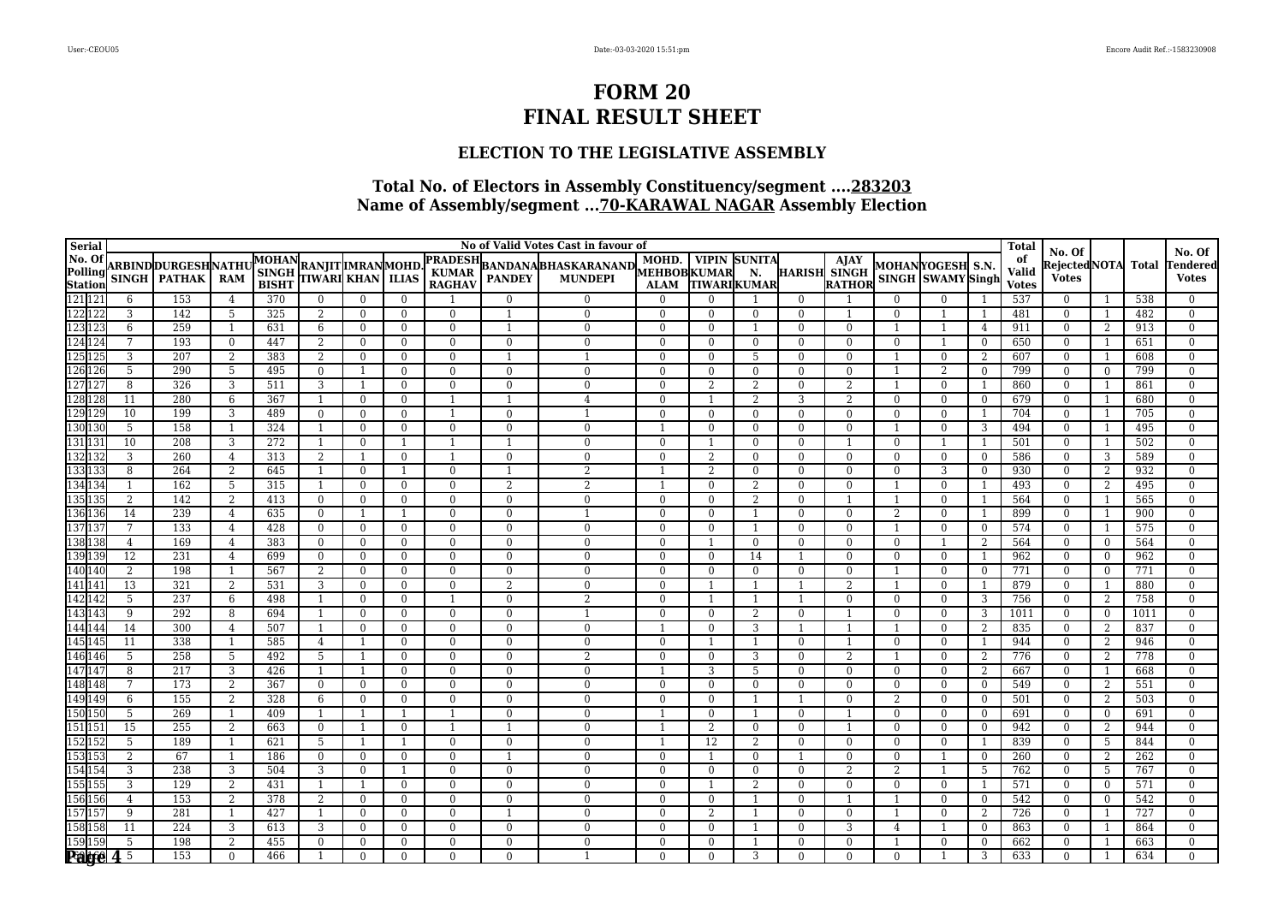### **ELECTION TO THE LEGISLATIVE ASSEMBLY**

| <b>Serial</b>                                      |                        |                           |                   |              |                                            |                      |                                  |                          |                                  | No of Valid Votes Cast in favour of                 |                          |                      |                     |                            |                      |                |                                  |                     | <b>Total</b> |                              |                          |            |                                  |
|----------------------------------------------------|------------------------|---------------------------|-------------------|--------------|--------------------------------------------|----------------------|----------------------------------|--------------------------|----------------------------------|-----------------------------------------------------|--------------------------|----------------------|---------------------|----------------------------|----------------------|----------------|----------------------------------|---------------------|--------------|------------------------------|--------------------------|------------|----------------------------------|
| No. Of<br>Polling<br>Station<br>121 121<br>122 122 |                        | <b>ARBINDDURGESHNATHU</b> |                   | <b>MOHAN</b> |                                            |                      |                                  | <b>PRADESH</b>           |                                  |                                                     | MOHD.                    |                      | <b>VIPIN SUNITA</b> |                            | AJAY                 |                | MOHANYOGESH S.N.                 |                     | of           | No. Of<br>RejectedNOTA Total |                          |            | No. Of<br><b>Tendered</b>        |
|                                                    |                        | SINGH   PATHAK            | <b>RAM</b>        | <b>SINGH</b> | RANJIT  MRANMOHD.<br> TIWARI  KHAN   ILIAS |                      |                                  | <b>KUMAR</b>             | <b>PANDEY</b>                    | BANDANA BHASKARANAND MEHBOB KUMAR<br><b>MUNDEPI</b> |                          |                      | N.                  | <b>HARISH SINGH</b>        |                      |                | SINGH SWAMY Singh                |                     | Valid        | <b>Votes</b>                 |                          |            | <b>Votes</b>                     |
|                                                    |                        |                           |                   | <b>BISHT</b> |                                            |                      |                                  | <b>RAGHAV</b>            |                                  |                                                     | <b>ALAM</b>              | <b>TIWARIKUMAR</b>   |                     |                            | <b>RATHOR</b>        |                |                                  |                     | <b>Votes</b> |                              |                          |            |                                  |
|                                                    | 6                      | 153                       | $\overline{4}$    | 370          | $\overline{0}$                             | $\Omega$             | $\Omega$                         |                          | $\Omega$                         | $\Omega$                                            | $\theta$                 |                      |                     | $\theta$                   |                      | $\Omega$       | $\Omega$                         |                     | 537          | $\mathbf{0}$                 | - 1                      | 538        | $^{0}$                           |
|                                                    | 3                      | 142                       | 5                 | 325          | 2                                          | $\overline{0}$       | $\overline{0}$                   | $\Omega$                 | $\mathbf{1}$                     | $\Omega$                                            | $\mathbf{0}$             | $\Omega$             | $\Omega$            | $\theta$                   | -1                   | $\Omega$       |                                  | -1                  | 481          | $\mathbf{0}$                 | $\overline{1}$           | 482        | $\overline{0}$                   |
| 123 123                                            | 6<br>7                 | 259                       | $\overline{1}$    | 631<br>447   | 6                                          | $\theta$             | $\overline{0}$                   | $\mathbf{0}$             | $\overline{1}$                   | $\Omega$<br>$\Omega$                                | $\Omega$                 | $\Omega$             |                     | $\theta$                   | $\Omega$             |                |                                  | $\overline{4}$      | 911          | $\mathbf{0}$                 | 2                        | 913        | $\Omega$                         |
| 124<br>125<br>125                                  | 3                      | 193<br>207                | $\mathbf{0}$<br>2 | 383          | 2<br>2                                     | $\theta$<br>$\Omega$ | $\overline{0}$                   | $\mathbf{0}$<br>$\Omega$ | $\overline{0}$<br>$\overline{1}$ |                                                     | $\mathbf{0}$<br>$\Omega$ | $\Omega$<br>$\Omega$ | $\mathbf{0}$<br>5   | $\overline{0}$<br>$\Omega$ | $\Omega$<br>$\Omega$ | $\overline{0}$ | $\overline{1}$<br>$\overline{0}$ | $\overline{0}$<br>2 | 650<br>607   | $\mathbf{0}$                 | -1                       | 651<br>608 | $\overline{0}$                   |
| 126 126                                            | 5                      | 290                       | 5                 | 495          | $\overline{0}$                             | $\overline{1}$       | $\overline{0}$<br>$\overline{0}$ | $\overline{0}$           | $\Omega$                         | $\Omega$                                            | $\overline{0}$           | $\Omega$             | $\theta$            | $\overline{0}$             | $\Omega$             |                | $\overline{2}$                   | $\overline{0}$      | 799          | $\mathbf{0}$<br>$\mathbf{0}$ | -1<br>$\overline{0}$     | 799        | $\overline{0}$<br>$\overline{0}$ |
| 127 127                                            | 8                      | 326                       | 3                 | 511          | 3                                          | $\overline{1}$       | $\overline{0}$                   | $\overline{0}$           | $\overline{0}$                   | $\Omega$                                            | $\overline{0}$           | 2                    | 2                   | $\overline{0}$             | 2                    |                | $\overline{0}$                   | -1                  | 860          | $\bf{0}$                     | -1                       | 861        | $\overline{0}$                   |
| 128 128                                            | 11                     | 280                       | 6                 | 367          | -1                                         | $\mathbf{0}$         | $\mathbf{0}$                     | $\mathbf{1}$             | $\overline{1}$                   | 4                                                   | $\mathbf{0}$             |                      | 2                   | 3                          | 2                    | $\Omega$       | $\mathbf{0}$                     | $\overline{0}$      | 679          | $\mathbf{0}$                 | -1                       | 680        | $\overline{0}$                   |
| 129 129                                            | 10                     | 199                       | 3                 | 489          | $\mathbf{0}$                               | $\overline{0}$       | $\overline{0}$                   | $\mathbf{1}$             | $\Omega$                         |                                                     | $\Omega$                 | $\Omega$             | $\theta$            | $\Omega$                   | $\Omega$             | $\Omega$       | $\overline{0}$                   | - 1                 | 704          | $\mathbf{0}$                 | -1                       | 705        | $\overline{0}$                   |
| 130 130                                            | 5                      | 158                       | $\overline{1}$    | 324          | $\overline{1}$                             | $\overline{0}$       | $\overline{0}$                   | $\mathbf{0}$             | $\overline{0}$                   | $\Omega$                                            |                          | $\mathbf{0}$         | $\mathbf{0}$        | $\overline{0}$             | $\Omega$             |                | $\overline{0}$                   | 3                   | 494          | $\overline{0}$               | -1                       | 495        | $\overline{0}$                   |
| 131 131                                            | 10                     | 208                       | 3                 | 272          | -1                                         | $\theta$             | $\overline{1}$                   | $\mathbf{1}$             | $\overline{1}$                   | $\Omega$                                            | $\Omega$                 |                      | $\Omega$            | $\overline{0}$             | $\overline{1}$       | $\Omega$       |                                  | $\overline{1}$      | 501          | $\mathbf{0}$                 | -1                       | 502        | $\overline{0}$                   |
| 132 132                                            | 3                      | 260                       | $\overline{4}$    | 313          | 2                                          | $\overline{1}$       | $\mathbf{0}$                     |                          | $\Omega$                         | $\Omega$                                            | $\Omega$                 | $\overline{2}$       | $\Omega$            | $\Omega$                   | $\Omega$             | $\Omega$       | $\Omega$                         | $\overline{0}$      | 586          | $\theta$                     | 3                        | 589        | $\Omega$                         |
|                                                    | 8                      | 264                       | 2                 | 645          | $\overline{1}$                             | $\overline{0}$       | $\overline{1}$                   | $\mathbf{0}$             | $\mathbf{1}$                     | $\overline{2}$                                      |                          | 2                    | $\overline{0}$      | $\overline{0}$             | $\Omega$             | $\mathbf{0}$   | 3                                | $\overline{0}$      | 930          | $\overline{0}$               | 2                        | 932        | $\overline{0}$                   |
| 133<br>133<br>134<br>134                           | $\mathbf{1}$           | 162                       | 5                 | 315          | -1                                         | $\theta$             | $\Omega$                         | $\Omega$                 | 2                                | $\overline{2}$                                      |                          | $\Omega$             | 2                   | $\Omega$                   | $\Omega$             |                | $\Omega$                         | - 1                 | 493          | $\Omega$                     | 2                        | 495        | $\Omega$                         |
| 135 135                                            | $\overline{2}$         | 142                       | 2                 | 413          | $\mathbf{0}$                               | $\mathbf{0}$         | $\overline{0}$                   | $\bf{0}$                 | $\overline{0}$                   | $\Omega$                                            | $\bf{0}$                 | $\Omega$             | $\overline{2}$      | $\Omega$                   |                      |                | $\overline{0}$                   |                     | 564          | $\mathbf{0}$                 | $\overline{1}$           | 565        | $\Omega$                         |
|                                                    | 14                     | 239                       | $\overline{4}$    | 635          | $\mathbf{0}$                               | 1                    | $\overline{1}$                   | $\bf{0}$                 | $\overline{0}$                   |                                                     | $\mathbf{0}$             | $\overline{0}$       | $\mathbf{1}$        | $\overline{0}$             | $\overline{0}$       | 2              | $\overline{0}$                   | - 1                 | 899          | $\overline{0}$               | -1                       | 900        | $\overline{0}$                   |
| 136 136<br>137 137                                 | $\overline{7}$         | 133                       | $\overline{4}$    | 428          | $\mathbf{0}$                               | $\theta$             | $\overline{0}$                   | $\overline{0}$           | $\Omega$                         | $\Omega$                                            | $\Omega$                 | $\Omega$             |                     | $\overline{0}$             | $\Omega$             | $\overline{1}$ | $\overline{0}$                   | $\overline{0}$      | 574          | $\overline{0}$               | -1                       | 575        | $\overline{0}$                   |
| 138 138                                            | 4                      | 169                       | 4                 | 383          | $\overline{0}$                             | $\overline{0}$       | $\overline{0}$                   | $\overline{0}$           | $\overline{0}$                   | $\Omega$                                            | $\overline{0}$           |                      | $\Omega$            | $\overline{0}$             | $\Omega$             | $\mathbf{0}$   | -1                               | 2                   | 564          | $\mathbf{0}$                 | $\overline{0}$           | 564        | $\overline{0}$                   |
| 139 139<br>140 140                                 | $\overline{12}$        | 231                       | 4                 | 699          | $\mathbf{0}$                               | $\mathbf{0}$         | $\overline{0}$                   | $\mathbf{0}$             | $\mathbf{0}$                     | $\theta$                                            | $\mathbf{0}$             | $\overline{0}$       | 14                  |                            | $\Omega$             | $\mathbf{0}$   | $\overline{0}$                   | -1                  | 962          | $\overline{0}$               | $\overline{0}$           | 962        | $\overline{0}$                   |
|                                                    | 2                      | 198                       | $\overline{1}$    | 567          | 2                                          | $\theta$             | $\overline{0}$                   | $\Omega$                 | $\Omega$                         | $\Omega$                                            | $\mathbf{0}$             | $\Omega$             | $\Omega$            | $\Omega$                   | $\Omega$             |                | $\overline{0}$                   | $\theta$            | 771          | $\mathbf{0}$                 | $\Omega$                 | 771        | $\Omega$                         |
| 141 141                                            | 13                     | 321                       | 2                 | 531          | 3                                          | $\theta$             | $\overline{0}$                   | $\overline{0}$           | 2                                | $\Omega$                                            | $\overline{0}$           |                      |                     |                            | $\mathfrak{D}$       |                | $\Omega$                         | - 1                 | 879          | $\mathbf{0}$                 | $\overline{1}$           | 880        | $\Omega$                         |
| 142 142                                            | 5                      | 237                       | 6                 | 498          | -1                                         | $\overline{0}$       | $\mathbf{0}$                     | $\mathbf{1}$             | $\overline{0}$                   | $\overline{2}$                                      | $\overline{0}$           |                      |                     | $\overline{1}$             | $\mathbf{0}$         | $\mathbf{0}$   | $\mathbf{0}$                     | -3                  | 756          | $\mathbf{0}$                 | 2                        | 758        | $\overline{0}$                   |
| 143 143                                            | 9                      | 292                       | 8                 | 694          | -1                                         | $\theta$             | $\overline{0}$                   | $\mathbf{0}$             | $\Omega$                         |                                                     | $\Omega$                 | $\Omega$             | 2                   | $\overline{0}$             | -1                   | $\Omega$       | $\overline{0}$                   | 3                   | 1011         | $\bf{0}$                     | $\overline{0}$           | 1011       | $\overline{0}$                   |
| 144 144                                            | 14                     | 300                       | $\overline{4}$    | 507          | -1                                         | $\mathbf{0}$         | $\overline{0}$                   | $\overline{0}$           | $\overline{0}$                   | $\Omega$                                            |                          | $\Omega$             | 3                   |                            |                      |                | $\overline{0}$                   | 2                   | 835          | $\bf{0}$                     | 2                        | 837        | $\Omega$                         |
| 145<br>146<br>146                                  | 11                     | 338                       | -1                | 585          | 4                                          | -1                   | $\mathbf{0}$                     | $\mathbf{0}$             | $\mathbf{0}$                     | $\mathbf{0}$                                        | $\overline{0}$           |                      | -1                  | $\mathbf{0}$               | $\overline{1}$       | $\Omega$       | $\mathbf{0}$                     | -1                  | 944          | $\mathbf{0}$                 | 2                        | 946        | $\overline{0}$                   |
|                                                    | $\overline{5}$         | 258                       | 5                 | 492          | 5                                          | $\overline{1}$       | $\mathbf{0}$                     | $\mathbf{0}$             | $\Omega$                         | 2                                                   | $\Omega$                 | $\Omega$             | 3                   | $\Omega$                   | 2                    |                | $\Omega$                         | 2                   | 776          | $\mathbf{0}$                 | 2                        | 778        | $\overline{0}$                   |
| 147 147                                            | 8                      | 217                       | 3                 | 426          | $\overline{1}$                             | $\overline{1}$       | $\overline{0}$                   | $\overline{0}$           | $\Omega$                         | $\Omega$                                            |                          | 3                    | 5                   | $\overline{0}$             | $\Omega$             | $\bf{0}$       | $\mathbf{0}$                     | 2                   | 667          | $\bf{0}$                     | - 1                      | 668        | $\overline{0}$                   |
| 148 148                                            | $\overline{7}$         | 173                       | 2                 | 367          | $\overline{0}$                             | $\overline{0}$       | $\overline{0}$                   | $\Omega$                 | $\Omega$                         | $\Omega$                                            | $\Omega$                 | $\Omega$             | $\Omega$            | $\overline{0}$             | $\Omega$             | $\overline{0}$ | $\overline{0}$                   | $\overline{0}$      | 549          | $\mathbf{0}$                 | 2                        | 551        | $\Omega$                         |
| 149 149<br>150 150                                 | 6                      | 155                       | 2                 | 328          | 6                                          | $\Omega$             | $\theta$                         | $\Omega$                 | $\Omega$                         | $\Omega$                                            | $\mathbf{0}$             | $\Omega$             |                     |                            | $\Omega$             | $\overline{2}$ | $\Omega$                         | $\overline{0}$      | 501          | $\mathbf{0}$                 | 2                        | 503        | $\Omega$                         |
|                                                    | 5                      | 269                       | $\overline{1}$    | 409          | -1                                         | $\overline{1}$       | $\overline{1}$                   | $\mathbf{1}$             | $\Omega$                         | $\Omega$                                            |                          | $\Omega$             |                     | $\theta$                   | -1                   | $\Omega$       | $\mathbf{0}$                     | $\theta$            | 691          | $\mathbf{0}$                 | $\overline{0}$           | 691        | $\overline{0}$                   |
| 151 151                                            | 15                     | 255                       | 2                 | 663          | $\overline{0}$                             | 1                    | $\overline{0}$                   | 1                        |                                  | $\Omega$                                            |                          | 2                    | $\overline{0}$      | $\overline{0}$             | -1                   | $\overline{0}$ | $\overline{0}$                   | $\overline{0}$      | 942          | $\mathbf{0}$                 | 2                        | 944        | $\overline{0}$                   |
| 152 152                                            | 5                      | 189                       | -1                | 621          | 5                                          | $\overline{1}$       |                                  | $\overline{0}$           | $\overline{0}$                   | $\Omega$                                            |                          | 12                   | 2                   | $\mathbf{0}$               | $\mathbf{0}$         | $\Omega$       | $\overline{0}$                   | - 1                 | 839          | $\mathbf{0}$                 | -5                       | 844        | $\overline{0}$                   |
| 153 153                                            | 2                      | 67                        | $\overline{1}$    | 186          | $\mathbf{0}$                               | $\mathbf{0}$         | $\bf{0}$                         | $\mathbf{0}$             | $\overline{\phantom{a}}$         | $\theta$                                            | $\mathbf{0}$             |                      | $\Omega$            |                            | $\mathbf{0}$         | $\Omega$       |                                  | $\overline{0}$      | 260          | $\mathbf{0}$                 | 2                        | 262        | $\overline{0}$                   |
| 154 154                                            | 3                      | 238                       | 3                 | 504          | 3                                          | $\overline{0}$       | $\mathbf{1}$                     | $\overline{0}$           | $\Omega$                         | $\Omega$                                            | $\Omega$                 | $\Omega$             | $\Omega$            | $\overline{0}$             | 2                    | $\overline{2}$ | $\mathbf{1}$                     | 5                   | 762          | $\mathbf{0}$                 | -5                       | 767        | $\overline{0}$                   |
| 155 155                                            | 3                      | 129                       | 2                 | 431          | $\overline{1}$                             | $\overline{1}$       | $\overline{0}$                   | $\mathbf{0}$             | $\Omega$                         | $\Omega$                                            | $\mathbf{0}$             |                      | $\overline{2}$      | $\overline{0}$             | $\Omega$             | $\overline{0}$ | $\overline{0}$                   | $\overline{1}$      | 571          | $\mathbf{0}$                 | $\overline{0}$           | 571        | $\overline{0}$                   |
| 156 156                                            | $\overline{4}$         | 153                       | 2                 | 378          | 2                                          | $\mathbf{0}$         | $\overline{0}$                   | $\overline{0}$           | $\Omega$                         | $\Omega$                                            | $\overline{0}$           | $\Omega$             |                     | $\Omega$                   | $\overline{1}$       |                | $\overline{0}$                   | $\overline{0}$      | 542          | $\mathbf{0}$                 | $\overline{0}$           | 542        | $\overline{0}$                   |
| 157 157                                            | 9                      | 281                       | $\overline{1}$    | 427          | $\overline{1}$                             | $\Omega$             | $\overline{0}$                   | $\mathbf{0}$             |                                  | $\Omega$                                            | $\Omega$                 | 2                    |                     | $\Omega$                   | $\Omega$             |                | $\Omega$                         | 2                   | 726          | $\Omega$                     | $\overline{\phantom{0}}$ | 727        | $\Omega$                         |
| 158 158                                            | 11                     | 224                       | 3                 | 613          | 3                                          | $\theta$             | $\overline{0}$                   | $\Omega$                 | $\Omega$                         | $\Omega$                                            | $\overline{0}$           | $\Omega$             |                     | $\Omega$                   | 3                    | $\overline{4}$ |                                  | $\theta$            | 863          | $\mathbf{0}$                 | $\overline{1}$           | 864        | $\overline{0}$                   |
| 159 159                                            | 5                      | 198                       | 2                 | 455          | $\mathbf{0}$                               | $\mathbf{0}$         | $\mathbf{0}$                     | $\mathbf{0}$             | $\mathbf{0}$                     | $\mathbf{0}$                                        | $\overline{0}$           | $\mathbf{0}$         | $\overline{1}$      | $\overline{0}$             | $\mathbf{0}$         | -1             | $\mathbf{0}$                     | $\mathbf{0}$        | 662          | $\mathbf{0}$                 | -1                       | 663        | $\overline{0}$                   |
| <b>Palge</b>                                       | $\overline{4\sqrt{5}}$ | 153                       | $\Omega$          | 466          |                                            | $\Omega$             | $\overline{0}$                   | $\overline{0}$           | $\Omega$                         |                                                     | $\Omega$                 | $\Omega$             | 3                   | $\Omega$                   | $\Omega$             | $\theta$       |                                  | 3                   | 633          | $\theta$                     | - 1                      | 634        | $\Omega$                         |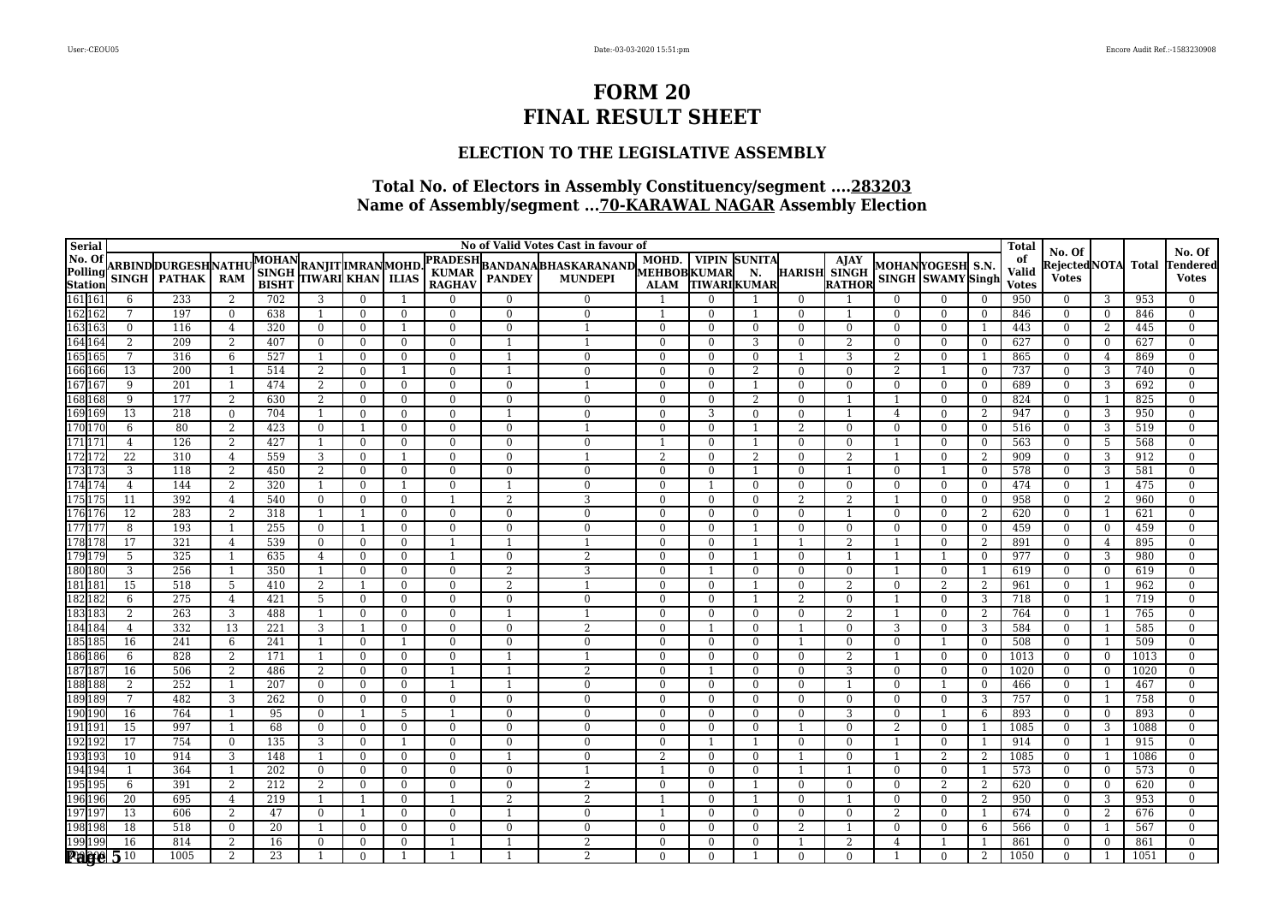### **ELECTION TO THE LEGISLATIVE ASSEMBLY**

| Serial                                  |                 |                      |                 |                                                   |                                  |                          |                            |                        |                                  | No of Valid Votes Cast in favour of |                          |                |                            |                          |                             |               |                   |                | <b>Total</b>          | No. Of                     |                |            | No. Of                           |
|-----------------------------------------|-----------------|----------------------|-----------------|---------------------------------------------------|----------------------------------|--------------------------|----------------------------|------------------------|----------------------------------|-------------------------------------|--------------------------|----------------|----------------------------|--------------------------|-----------------------------|---------------|-------------------|----------------|-----------------------|----------------------------|----------------|------------|----------------------------------|
| No. Of<br>Polling<br>Station<br>161 161 |                 | ARBIND DURGESH NATHU |                 | MOHAN RANJIT MRANMOHD.<br>SINGH RANJIT KHAN LLIAS |                                  |                          |                            | <b>PRADESH</b>         |                                  | BANDANABHASKARANAND MEHBOBKUMAR     | MOHD.                    |                | <b>VIPIN SUNITA</b>        |                          | <b>AJAY</b><br>HARISH SINGH |               | MOHANYOGESH S.N.  |                | of                    | Rejected NOTA  Total       |                |            | Tendered                         |
|                                         |                 | SINGH   PATHAK       | <b>RAM</b>      |                                                   |                                  |                          |                            | <b>KUMAR</b><br>RAGHAV | <b>PANDEY</b>                    | <b>MUNDEPI</b>                      | <b>ALAM</b>              |                | N.<br><b>TIWARIKUMAR</b>   |                          | RATHOR                      |               | SINGH SWAMY Singh |                | Valid<br><b>Votes</b> | <b>Votes</b>               |                |            | <b>Votes</b>                     |
|                                         | 6               | 233                  | 2               | 702                                               | 3                                | $\Omega$                 |                            | $\Omega$               | $\Omega$                         | $\Omega$                            |                          | $\Omega$       |                            | $\Omega$                 |                             |               | $\Omega$          | $\bf{0}$       | 950                   | $\mathbf{0}$               | 3              | 953        | $\mathbf{0}$                     |
|                                         | 7               | 197                  | $\overline{0}$  | 638                                               | $\overline{1}$                   | $\theta$                 | $\overline{0}$             | $\Omega$               | $\Omega$                         | $\Omega$                            |                          | $\Omega$       |                            | $\Omega$                 |                             | $\Omega$      | $\overline{0}$    | $\overline{0}$ | 846                   | $\overline{0}$             | $\Omega$       | 846        | $\overline{0}$                   |
| 162<br>163<br>163<br>163                | $\mathbf{0}$    | 116                  | $\overline{4}$  | 320                                               | $\mathbf{0}$                     | $\theta$                 |                            | $\Omega$               | $\Omega$                         | $\overline{\phantom{a}}$            | $\Omega$                 | $\Omega$       | $\overline{0}$             | $\Omega$                 | $\Omega$                    | $\Omega$      | $\Omega$          | -1             | 443                   | $\Omega$                   | 2              | 445        | $\overline{0}$                   |
| 164 164                                 | 2               | 209                  | $\overline{2}$  | 407                                               | $\mathbf{0}$                     | $\mathbf{0}$             | $\overline{0}$             | $\Omega$               |                                  |                                     | $\Omega$                 | $\Omega$       | 3                          | $\overline{0}$           | $\overline{2}$              | $\theta$      | $\overline{0}$    | $\overline{0}$ | 627                   | $\overline{0}$             | $\overline{0}$ | 627        | $\overline{0}$                   |
| 165 165                                 | 7               | 316                  | 6               | 527                                               | $\overline{1}$                   | $\theta$                 | $\overline{0}$             | $\Omega$               |                                  | $\Omega$                            | $\Omega$                 | $\theta$       | $\overline{0}$             |                          | 3                           | $\mathcal{L}$ | $\overline{0}$    | -1             | 865                   | $\overline{0}$             | $\overline{4}$ | 869        | $\overline{0}$                   |
| 166 166                                 | 13              | 200                  |                 | 514                                               | 2                                | $\mathbf{0}$             |                            | $\Omega$               |                                  | $\Omega$                            | $\overline{0}$           | $\overline{0}$ | $\overline{2}$             | $\overline{0}$           | $\overline{0}$              | 2             |                   | $\overline{0}$ | 737                   | $\overline{0}$             | 3              | 740        | $\Omega$                         |
| 167 167                                 | 9               | 201                  |                 | 474                                               | 2                                | $\mathbf{0}$             | $\mathbf{0}$               | $\Omega$               | $\Omega$                         |                                     | $\overline{0}$           | $\mathbf{0}$   |                            | $\overline{0}$           | $\mathbf{0}$                | $\theta$      | $\overline{0}$    | $\bf{0}$       | 689                   | $\overline{0}$             | 3              | 692        | $\overline{0}$                   |
| 168 168                                 | 9               | 177                  | 2               | 630                                               | 2                                | $\bf{0}$                 | $\mathbf{0}$               | $\mathbf{0}$           | $\overline{0}$                   | $\Omega$                            | $\mathbf{0}$             | $\mathbf{0}$   | 2                          | $\mathbf{0}$             | $\overline{1}$              |               | $\bf{0}$          | $\bf{0}$       | 824                   | $\overline{0}$             | -1             | 825        | $\overline{0}$                   |
| 169 169                                 | 13              | 218                  | $\mathbf{0}$    | 704                                               | $\overline{1}$                   | $\Omega$                 | $\Omega$                   | $\Omega$               |                                  | $\Omega$                            | $\mathbf{0}$             | 3              | $\overline{0}$             | $\mathbf{0}$             | $\mathbf{1}$                | 4             | $\Omega$          | 2              | 947                   | $\overline{0}$             | 3              | 950        | $\theta$                         |
| 170<br>171<br>171                       | 6               | 80                   | $\overline{2}$  | 423                                               | $\bf{0}$                         | $\mathbf{1}$             | $\overline{0}$             | $\Omega$               | $\mathbf{0}$                     |                                     | $\mathbf{0}$             | $\theta$       |                            | 2                        | $\mathbf{0}$                | $\mathbf{0}$  | $\overline{0}$    | $\overline{0}$ | 516                   | $\overline{0}$             | 3              | 519        | $\overline{0}$                   |
|                                         | $\overline{4}$  | $\frac{126}{ }$      | 2               | 427                                               | 1                                | $\Omega$                 | $\mathbf{0}$               | $\Omega$               | $\Omega$                         | $\Omega$                            |                          | $\theta$       | $\overline{1}$             | $\Omega$                 | $\theta$                    |               | $\overline{0}$    | $\bf{0}$       | 563                   | $\Omega$                   | -5             | 568        | $\mathbf{0}$                     |
| 1721                                    | 22              | 310                  | $\overline{4}$  | 559                                               | 3                                | $\Omega$                 |                            | $\Omega$               | $\Omega$                         |                                     | $\overline{2}$           | $\Omega$       | $\overline{2}$             | $\mathbf{0}$             | $\overline{2}$              |               | $\Omega$          | $\overline{2}$ | 909                   | $\Omega$                   | 3              | 912        | $\theta$                         |
| 173<br>174<br>174                       | 3               | 118                  | 2               | 450                                               | 2                                | $\theta$                 | $\overline{0}$             | $\Omega$               | $\Omega$                         | $\Omega$                            | $\mathbf{0}$             | $\theta$       | $\overline{1}$             | $\mathbf{0}$             | $\overline{1}$              | $\Omega$      |                   | $\overline{0}$ | 578                   | $\overline{0}$             | 3              | 581        | $\overline{0}$                   |
|                                         | $\overline{4}$  | 144                  | 2               | 320                                               | -1                               | $\theta$                 |                            | $\Omega$               |                                  | $\Omega$                            | $\Omega$                 |                | $\theta$                   | $\Omega$                 | $\theta$                    | $\Omega$      | $\Omega$          | $\Omega$       | 474                   | $\Omega$                   | -1             | 475        | $\overline{0}$                   |
| 1751                                    | 11              | 392                  | $\overline{4}$  | 540                                               | $\bf{0}$                         | $\Omega$                 | $\Omega$                   |                        | $\overline{2}$                   | 3                                   | $\Omega$                 | $\mathbf{0}$   | $\overline{0}$             | $\overline{2}$           | $\overline{2}$              |               | $\Omega$          | $\mathbf{0}$   | 958                   | $\overline{0}$             | 2              | 960        | $\mathbf{0}$                     |
| 176 176                                 | 12              | 283                  | 2               | 318                                               | -1                               | -1                       | $\bf{0}$                   | $\mathbf{0}$           | $\bf{0}$                         | $\mathbf{0}$                        | $\mathbf{0}$             | $\mathbf{0}$   | $\mathbf{0}$               | $\bf{0}$                 | $\mathbf{1}$                | $\mathbf{0}$  | $\bf{0}$          | 2              | 620                   | $\bf{0}$                   | -1             | 621        | $\overline{0}$                   |
| 177 177                                 | $\overline{8}$  | 193                  | $\overline{1}$  | 255                                               | $\mathbf{0}$                     | 1                        | $\overline{0}$             | $\overline{0}$         | $\Omega$                         | $\Omega$                            | $\Omega$                 | $\theta$       | $\overline{1}$             | $\mathbf{0}$             | $\mathbf{0}$                | $\Omega$      | $\overline{0}$    | $\overline{0}$ | 459                   | $\mathbf{0}$               | $\overline{0}$ | 459        | $\overline{0}$                   |
| 178 178                                 | $\overline{17}$ | 321                  | $\overline{4}$  | 539                                               | $\mathbf{0}$                     | $\mathbf{0}$             | $\mathbf{0}$               | $\mathbf{1}$           |                                  | -1                                  | $\mathbf{0}$             | $\mathbf{0}$   | -1                         | -1                       | $\overline{2}$              |               | $\overline{0}$    | $\overline{2}$ | 891                   | $\mathbf{0}$               | $\overline{4}$ | 895        | $\theta$                         |
| 179 179<br>180 180                      | 5<br>3          | 325<br>256           | -1              | 635<br>350                                        | $\overline{4}$<br>$\overline{1}$ | $\mathbf{0}$<br>$\theta$ | $\overline{0}$<br>$\Omega$ | $\Omega$               | $\overline{0}$<br>$\overline{2}$ | $\overline{2}$<br>3                 | $\mathbf{0}$<br>$\Omega$ | $\mathbf{0}$   | $\overline{1}$<br>$\theta$ | $\mathbf{0}$<br>$\Omega$ | $\theta$                    |               | $\Omega$          | $\overline{0}$ | 977<br>619            | $\overline{0}$<br>$\Omega$ | 3<br>$\theta$  | 980<br>619 | $\overline{0}$<br>$\overline{0}$ |
| 181 181                                 | 15              | 518                  | 5               | 410                                               | 2                                |                          | $\overline{0}$             | $\Omega$               | $\overline{2}$                   |                                     | $\Omega$                 | $\theta$       |                            | $\overline{0}$           | 2                           | $\Omega$      | $\overline{2}$    | 2              | 961                   | $\Omega$                   | -1             | 962        | $\Omega$                         |
|                                         | 6               | 275                  | $\overline{4}$  | 421                                               | 5                                | $\bf{0}$                 | $\mathbf{0}$               | $\Omega$               | $\overline{0}$                   | $\mathbf{0}$                        | $\overline{0}$           | $\mathbf{0}$   | $\overline{1}$             | 2                        | $\mathbf{0}$                |               | $\overline{0}$    | 3              | 718                   | $\overline{0}$             | -1             | 719        | $\overline{0}$                   |
| 182182<br>183183<br>184184              | $\overline{2}$  | 263                  | 3               | 488                                               | -1                               | $\Omega$                 | $\Omega$                   | $\Omega$               |                                  | $\overline{1}$                      | $\Omega$                 | $\Omega$       | $\overline{0}$             | $\overline{0}$           | $\overline{2}$              |               | $\overline{0}$    | 2              | 764                   | $\overline{0}$             | -1             | 765        | $\bf{0}$                         |
|                                         | $\overline{4}$  | 332                  | $\overline{13}$ | 221                                               | 3                                |                          | $\overline{0}$             | $\Omega$               | $\Omega$                         |                                     | $\Omega$                 |                | $\overline{0}$             |                          | $\mathbf{0}$                | 3             | $\overline{0}$    | 3              | 584                   | $\overline{0}$             | -1             | 585        | $\mathbf{0}$                     |
|                                         | 16              | 241                  | 6               | 241                                               | -1                               | $\bf{0}$                 | -1                         | $\Omega$               | $\overline{0}$                   | $\overline{0}$                      | $\overline{0}$           | $\mathbf{0}$   | $\mathbf{0}$               | $\overline{1}$           | $\mathbf{0}$                | $\mathbf{0}$  |                   | $\bf{0}$       | 508                   | $\mathbf{0}$               | -1             | 509        | $\overline{0}$                   |
| 185185<br>186186                        | 6               | 828                  | $\overline{2}$  | 171                                               | $\overline{1}$                   | $\Omega$                 | $\Omega$                   | $\Omega$               |                                  |                                     | $\Omega$                 | $\Omega$       | $\overline{0}$             | $\overline{0}$           | $\overline{2}$              |               | $\mathbf{0}$      | $\overline{0}$ | 1013                  | $\mathbf{0}$               | $\overline{0}$ | 1013       | $\theta$                         |
| 187 187                                 | 16              | 506                  | 2               | 486                                               | 2                                | $\Omega$                 | $\overline{0}$             | $\mathbf{1}$           |                                  | $\overline{2}$                      | $\mathbf{0}$             |                | $\overline{0}$             | $\overline{0}$           | 3                           | $\Omega$      | $\overline{0}$    | $\theta$       | 1020                  | $\overline{0}$             | $\Omega$       | 1020       | $\overline{0}$                   |
| 188 188                                 | 2               | 252                  | $\overline{1}$  | 207                                               | $\mathbf{0}$                     | $\theta$                 | $\overline{0}$             | $\mathbf{1}$           |                                  | $\Omega$                            | $\Omega$                 | $\Omega$       | $\theta$                   | $\overline{0}$           | $\mathbf{1}$                | $\theta$      |                   | $\overline{0}$ | 466                   | $\Omega$                   | -1             | 467        | $\Omega$                         |
| 189 189                                 | $\overline{7}$  | 482                  | 3               | 262                                               | $\mathbf{0}$                     | $\mathbf{0}$             | $\Omega$                   | $\Omega$               | $\Omega$                         | $\Omega$                            | $\Omega$                 | $\Omega$       | $\overline{0}$             | $\overline{0}$           | $\mathbf{0}$                |               | $\Omega$          | 3              | 757                   | $\Omega$                   | -1             | 758        | $\Omega$                         |
| 190 190                                 | 16              | 764                  | $\overline{1}$  | 95                                                | $\mathbf{0}$                     | $\mathbf{1}$             | 5                          | $\mathbf{1}$           | $\Omega$                         | $\Omega$                            | $\Omega$                 | $\theta$       | $\overline{0}$             | $\Omega$                 | 3                           | $\theta$      |                   | 6              | 893                   | $\overline{0}$             | $\Omega$       | 893        | $\overline{0}$                   |
| 191 191                                 | 15              | 997                  |                 | 68                                                | $\mathbf{0}$                     | $\mathbf{0}$             | $\overline{0}$             | $\mathbf{0}$           | $\Omega$                         | $\Omega$                            | $\mathbf{0}$             | $\overline{0}$ | $\overline{0}$             | $\overline{1}$           | $\Omega$                    | 2             | $\overline{0}$    | -1             | 1085                  | $\overline{0}$             | 3              | 1088       | $\theta$                         |
| 192 19                                  | 17              | 754                  | $\bf{0}$        | 135                                               | 3                                | $\mathbf{0}$             |                            | $\Omega$               | $\Omega$                         | $\Omega$                            | $\mathbf{0}$             |                |                            | $\mathbf{0}$             | $\overline{0}$              |               | $\bf{0}$          | -1             | 914                   | $\mathbf{0}$               | -1             | 915        | $\overline{0}$                   |
| 193 193                                 | 10              | 914                  | 3               | 148                                               | $\overline{1}$                   | $\mathbf{0}$             | $\bf{0}$                   | $\Omega$               |                                  | $\theta$                            | $\overline{2}$           | $\overline{0}$ | $\overline{0}$             |                          | $\mathbf{0}$                |               | 2                 | 2              | 1085                  | $\mathbf{0}$               | -1             | 1086       | $\overline{0}$                   |
| 194 194                                 |                 | 364                  |                 | 202                                               | $\mathbf{0}$                     | $\Omega$                 | $\theta$                   | $\Omega$               | $\Omega$                         | $\overline{\phantom{a}}$            |                          | $\Omega$       | $\overline{0}$             | -1                       |                             | $\Omega$      | $\Omega$          | -1             | 573                   | $\Omega$                   | $\overline{0}$ | 573        | $\Omega$                         |
| 195 195                                 | 6               | 391                  | $\overline{2}$  | 212                                               | 2                                | $\mathbf{0}$             | $\mathbf{0}$               | $\Omega$               | $\Omega$                         | $\overline{\mathcal{L}}$            | $\mathbf{0}$             | $\Omega$       | -1                         | $\overline{0}$           | $\mathbf{0}$                | $\theta$      | $\overline{2}$    | 2              | 620                   | $\overline{0}$             | $\overline{0}$ | 620        | $\overline{0}$                   |
| 196 196                                 | 20              | 695                  | $\overline{4}$  | 219                                               | -1                               | $\overline{1}$           | $\Omega$                   | $\mathbf{1}$           | $\overline{2}$                   | $\overline{2}$                      |                          | $\Omega$       | $\overline{1}$             | $\Omega$                 | $\mathbf{1}$                | $\Omega$      | $\overline{0}$    | 2              | 950                   | $\mathbf{0}$               | 3              | 953        | $\overline{0}$                   |
| 19719                                   | 13              | 606                  | $\overline{2}$  | 47                                                | $\Omega$                         | $\overline{1}$           | $\Omega$                   | $\Omega$               |                                  | $\Omega$                            |                          | $\Omega$       | $\overline{0}$             | $\Omega$                 | $\Omega$                    | 2             | $\Omega$          |                | 674                   | $\Omega$                   | 2              | 676        | $\theta$                         |
| 198 198                                 | 18              | 518                  | $\overline{0}$  | 20                                                | $\overline{1}$                   | $\theta$                 | $\mathbf{0}$               | $\Omega$               | $\Omega$                         | $\Omega$                            | $\mathbf{0}$             | $\theta$       | $\overline{0}$             | 2                        |                             | $\Omega$      | $\overline{0}$    | 6              | 566                   | $\Omega$                   | -1             | 567        | $\overline{0}$                   |
| 199199<br><b>Page</b>                   | 16              | 814                  | 2               | 16                                                | $\mathbf{0}$                     | $\mathbf{0}$             | $\mathbf{0}$               | $\mathbf{1}$           |                                  | 2                                   | $\mathbf{0}$             | $\mathbf{0}$   | $\bf{0}$                   | $\overline{1}$           | 2                           | 4             | $\overline{1}$    | -1             | 861                   | $\mathbf{0}$               | $\overline{0}$ | 861        | $\overline{0}$                   |
|                                         | 510             | 1005                 | $\overline{2}$  | 23                                                |                                  | $\Omega$                 |                            |                        |                                  | $\overline{2}$                      | $\Omega$                 | $\Omega$       |                            | $\overline{0}$           | $\Omega$                    |               | $\Omega$          | 2              | 1050                  | $\Omega$                   |                | 1051       | $\Omega$                         |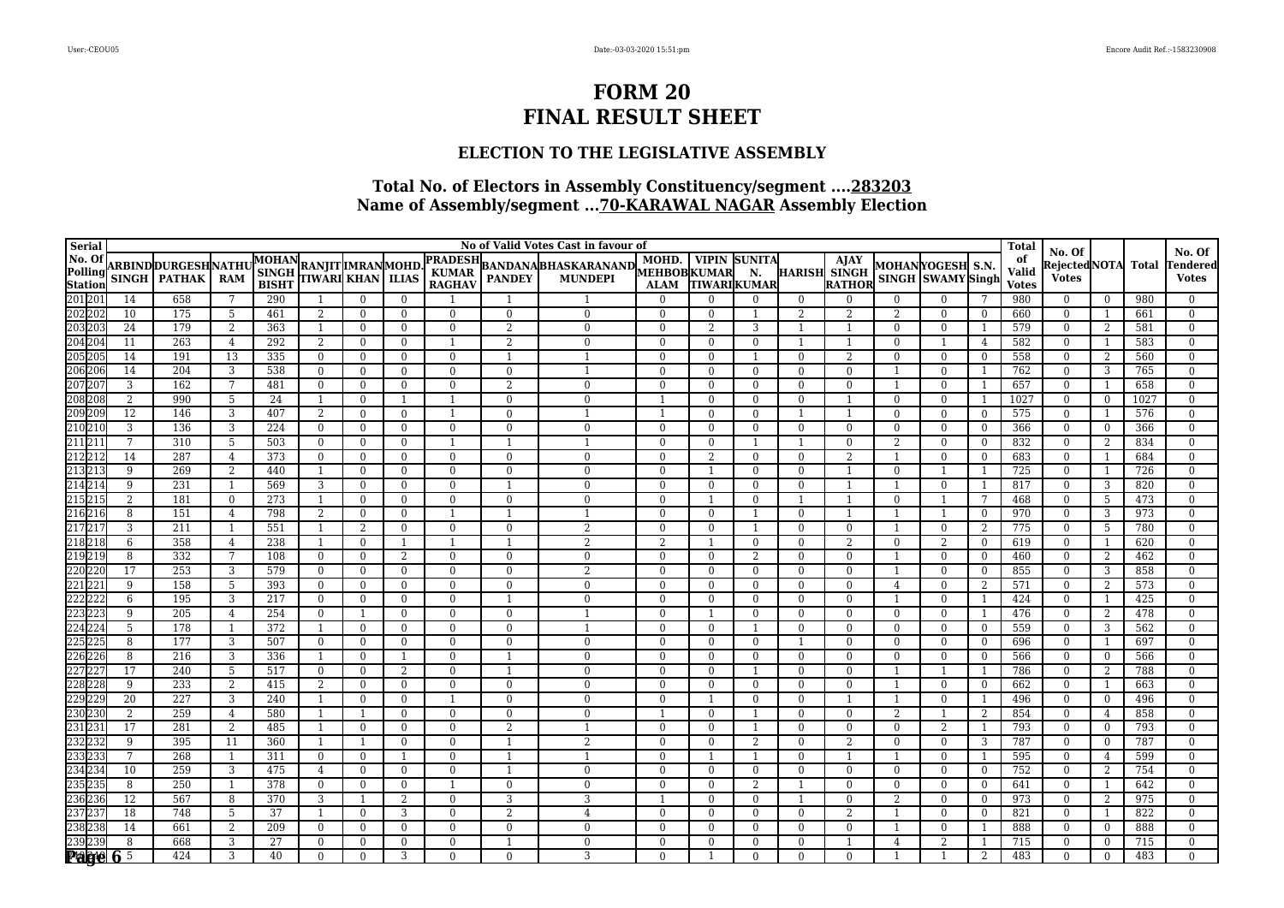### **ELECTION TO THE LEGISLATIVE ASSEMBLY**

| Serial                                                                                                     |                 |                                        |                     |                                                   |                                  |                |                          |                                   |                | No of Valid Votes Cast in favour of |                      |                      |                                  |                            |                                       |                |                                       |                                | <b>Total</b>                | No. Of                               |                      |            | No. Of                     |
|------------------------------------------------------------------------------------------------------------|-----------------|----------------------------------------|---------------------|---------------------------------------------------|----------------------------------|----------------|--------------------------|-----------------------------------|----------------|-------------------------------------|----------------------|----------------------|----------------------------------|----------------------------|---------------------------------------|----------------|---------------------------------------|--------------------------------|-----------------------------|--------------------------------------|----------------------|------------|----------------------------|
|                                                                                                            |                 | ARBIND DURGESH NATHU<br>SINGH   PATHAK | <b>RAM</b>          | MOHAN RANJIT MRANMOHD.<br>SINGH RANJIT KHAN LLIAS |                                  |                |                          | <b>PRADESH</b><br>KUMAR<br>RAGHAV |                | BANDANA BHASKARANAND MUHD. VIPIN    | MOHD.<br><b>ALAM</b> | <b>TIWARIKUMAR</b>   | <b>VIPIN SUNITA</b><br>N.        |                            | <b>AJAY</b><br>HARISH SINGH<br>RATHOR |                | MOHANYOGESH S.N.<br>SINGH SWAMY Singh |                                | of<br>Valid<br><b>Votes</b> | Rejected NOTA  Total<br><b>Votes</b> |                      |            | Tendered<br><b>Votes</b>   |
|                                                                                                            | 14              | 658                                    |                     | 290                                               | -1                               | $\bf{0}$       | $\Omega$                 |                                   |                |                                     | $\Omega$             | $\Omega$             | $\Omega$                         | $\overline{0}$             | $\bf{0}$                              | $\Omega$       | $\Omega$                              |                                | 980                         | $\mathbf{0}$                         | $\bf{0}$             | 980        | $\mathbf{0}$               |
|                                                                                                            | 10              | 175                                    | 5                   | 461                                               | 2                                | $\mathbf{0}$   | $\overline{0}$           | $\Omega$                          | $\Omega$       | $\mathbf{0}$                        | $\mathbf{0}$         | $\overline{0}$       |                                  | 2                          | $\overline{2}$                        | 2              | $\overline{0}$                        | $\mathbf{0}$                   | 660                         | $\overline{0}$                       | -1                   | 661        | $\overline{0}$             |
|                                                                                                            | 24              | 179                                    | 2                   | 363                                               | -1                               | $\mathbf{0}$   | $\Omega$                 | $\mathbf{0}$                      | 2              | $\Omega$                            | $\overline{0}$       | $\overline{2}$       | 3                                | -1                         | $\mathbf{1}$                          | $\Omega$       | $\Omega$                              | - 1                            | 579                         | $\overline{0}$                       | $\overline{2}$       | 581        | $\overline{0}$             |
|                                                                                                            | 11              | 263                                    | $\overline{4}$      | 292                                               | 2                                | $\mathbf{0}$   | $\mathbf{0}$             |                                   | $\overline{2}$ | $\Omega$                            | $\overline{0}$       | $\overline{0}$       | $\overline{0}$                   |                            |                                       | $\theta$       |                                       | 4                              | 582                         | $\overline{0}$                       | -1                   | 583        | $\overline{0}$             |
|                                                                                                            | 14              | 191                                    | $\overline{13}$     | 335                                               | $\mathbf{0}$                     | $\overline{0}$ | $\overline{0}$           | $\mathbf{0}$                      |                | $\overline{1}$                      | $\theta$             | $\overline{0}$       | $\overline{1}$                   | $\overline{0}$             | $\overline{2}$                        | $\Omega$       | $\overline{0}$                        | $\bf{0}$                       | 558                         | $\overline{0}$                       | 2                    | 560        | $\overline{0}$             |
|                                                                                                            | 14              | 204                                    | 3                   | 538                                               | $\mathbf{0}$                     | $\Omega$       | $\Omega$                 | $\Omega$                          | $\Omega$       |                                     | $\mathbf{0}$         | $\Omega$             | $\overline{0}$                   | $\overline{0}$             | $\Omega$                              |                | $\Omega$                              |                                | 762                         | $\overline{0}$                       | 3                    | 765        | $\theta$                   |
|                                                                                                            | 3               | 162                                    | $7\phantom{.0}$     | 481                                               | $\bf{0}$                         | $\mathbf{0}$   | $\overline{0}$           | $\Omega$                          | $\overline{2}$ | $\Omega$                            | $\mathbf{0}$         | $\theta$             | $\overline{0}$                   | $\overline{0}$             | $\mathbf{0}$                          |                | $\overline{0}$                        | - 1                            | 657                         | $\bf{0}$                             | -1                   | 658        | $\overline{0}$             |
|                                                                                                            | 2               | 990                                    | 5                   | 24                                                | -1                               | $\theta$       |                          | $\mathbf{1}$                      | $\Omega$       | $\Omega$                            |                      | $\theta$             | $\theta$                         | $\Omega$                   | $\overline{1}$                        | $\theta$       | $\overline{0}$                        | -1                             | 1027                        | $\Omega$                             | $\Omega$             | 1027       | $\overline{0}$             |
|                                                                                                            | 12              | 146                                    | 3                   | 407                                               | $\overline{2}$                   | $\Omega$       | $\Omega$                 | $\mathbf{1}$                      | $\theta$       |                                     |                      | $\Omega$             | $\overline{0}$                   |                            |                                       |                | $\Omega$                              | $\overline{0}$                 | 575                         | $\overline{0}$                       | -1                   | 576        | $\theta$                   |
|                                                                                                            | 3               | 136                                    | 3                   | 224                                               | $\bf{0}$                         | $\mathbf{0}$   | $\bf{0}$                 | $\Omega$                          | $\Omega$       | $\mathbf{0}$                        | $\mathbf{0}$         | $\mathbf{0}$         | $\overline{0}$                   | $\mathbf{0}$               | $\mathbf{0}$                          | $\overline{0}$ | $\overline{0}$                        | $\overline{0}$                 | 366                         | $\overline{0}$                       | $\overline{0}$       | 366        | $\overline{0}$             |
|                                                                                                            | $7\phantom{.0}$ | 310                                    | 5                   | 503                                               | $\mathbf{0}$                     | $\theta$       | $\overline{0}$           | $\overline{1}$                    |                |                                     | $\Omega$             | $\theta$             |                                  | $\mathbf{1}$               | $\theta$                              | 2              | $\Omega$                              | $\Omega$                       | 832                         | $\mathbf{0}$                         | 2                    | 834        | $\overline{0}$             |
|                                                                                                            | 14              | 287                                    | $\overline{4}$      | 373                                               | $\mathbf{0}$                     | $\Omega$       | $\mathbf{0}$             | $\Omega$                          | $\Omega$       | $\Omega$                            | $\mathbf{0}$         | 2                    | $\overline{0}$                   | $\overline{0}$             | 2                                     |                | $\overline{0}$                        | $\bf{0}$                       | 683                         | $\overline{0}$                       | -1                   | 684        | $\overline{0}$             |
|                                                                                                            | 9               | 269                                    | $\overline{2}$      | 440                                               | 1                                | $\mathbf{0}$   | $\overline{0}$           | $\Omega$                          | $\mathbf{0}$   | $\mathbf{0}$                        | $\overline{0}$       | $\overline{1}$       | $\overline{0}$                   | $\mathbf{0}$               | $\overline{1}$                        | $\Omega$       |                                       | -1                             | 725                         | $\mathbf{0}$                         | -1                   | 726        | $\overline{0}$             |
|                                                                                                            | 9               | 231                                    |                     | 569                                               | 3                                | $\Omega$       | $\Omega$                 | $\Omega$                          |                | $\Omega$                            | $\Omega$             | $\Omega$             | $\overline{0}$                   | $\Omega$                   |                                       |                | $\Omega$                              | $\overline{\phantom{0}}$<br>-7 | 817                         | $\Omega$                             | 3                    | 820        | $\overline{0}$             |
|                                                                                                            | $\overline{2}$  | 181<br>151                             | $\overline{0}$      | 273<br>798                                        | -1                               | $\Omega$       | $\overline{0}$           | $\Omega$<br>$\mathbf{1}$          | $\Omega$       | $\Omega$                            | $\Omega$             |                      | $\overline{0}$                   |                            | $\overline{1}$                        | $\Omega$       |                                       |                                | 468                         | $\Omega$                             | 5                    | 473        | $\overline{0}$             |
|                                                                                                            | 8<br>3          | $\overline{211}$                       | $\overline{4}$      | 551                                               | 2                                | $\Omega$       | $\mathbf{0}$<br>$\Omega$ | $\Omega$                          | $\Omega$       | -1<br>$\overline{2}$                | $\Omega$<br>$\Omega$ | $\theta$<br>$\Omega$ | $\overline{1}$<br>$\overline{1}$ | $\overline{0}$<br>$\Omega$ | $\theta$                              |                | $\Omega$                              | $\overline{0}$                 | 970                         | $\overline{0}$                       | 3                    | 973        | $\mathbf{0}$               |
|                                                                                                            | 6               | 358                                    | $\overline{1}$      | 238                                               | $\overline{1}$<br>$\overline{1}$ | 2<br>$\Omega$  |                          |                                   |                | $\overline{2}$                      | $\overline{2}$       |                      | $\overline{0}$                   | $\Omega$                   | $\overline{2}$                        | $\Omega$       | 2                                     | 2<br>$\Omega$                  | 775<br>619                  | $\overline{0}$<br>$\Omega$           | -5<br>$\overline{1}$ | 780<br>620 | $\overline{0}$<br>$\Omega$ |
|                                                                                                            | 8               | 332                                    | $\overline{4}$<br>7 | $\overline{108}$                                  | $\mathbf{0}$                     | $\Omega$       | 2                        | $\Omega$                          | $\theta$       | $\Omega$                            | $\Omega$             | $\Omega$             | 2                                | $\Omega$                   | $\Omega$                              |                | $\overline{0}$                        | $\bf{0}$                       | 460                         | $\Omega$                             | -2                   | 462        | $\Omega$                   |
|                                                                                                            | 17              | 253                                    | 3                   | 579                                               | $\mathbf{0}$                     | $\mathbf{0}$   | $\Omega$                 | $\Omega$                          | $\Omega$       | $\overline{2}$                      | $\mathbf{0}$         | $\Omega$             | $\overline{0}$                   | $\overline{0}$             | $\overline{0}$                        |                | $\Omega$                              | $\bf{0}$                       | 855                         | $\overline{0}$                       | 3                    | 858        | $\boldsymbol{0}$           |
|                                                                                                            | 9               | 158                                    | 5                   | 393                                               | $\mathbf{0}$                     | $\overline{0}$ | $\overline{0}$           | $\Omega$                          | $\Omega$       | $\Omega$                            | $\overline{0}$       | $\overline{0}$       | $\overline{0}$                   | $\overline{0}$             | $\overline{0}$                        | $\overline{4}$ | $\overline{0}$                        | $\overline{2}$                 | 571                         | $\overline{0}$                       | 2                    | 573        | $\overline{0}$             |
|                                                                                                            | 6               | 195                                    | 3                   | 217                                               | $\mathbf{0}$                     | $\mathbf{0}$   | $\mathbf{0}$             | $\mathbf{0}$                      |                | $\Omega$                            | $\overline{0}$       | $\mathbf{0}$         | $\overline{0}$                   | $\overline{0}$             | $\Omega$                              |                | $\overline{0}$                        | -1                             | 424                         | $\overline{0}$                       | -1                   | 425        | $\theta$                   |
|                                                                                                            | 9               | 205                                    | $\overline{4}$      | 254                                               | $\bf{0}$                         | 1              | $\mathbf{0}$             | $\Omega$                          | $\Omega$       | $\overline{\phantom{a}}$            | $\mathbf{0}$         | -1                   | $\bf{0}$                         | $\bf{0}$                   | $\mathbf{0}$                          | $\bf{0}$       | $\overline{0}$                        | -1                             | 476                         | $\overline{0}$                       | 2                    | 478        | $\overline{0}$             |
|                                                                                                            | 5               | 178                                    | -1                  | 372                                               | $\overline{1}$                   | $\mathbf{0}$   | $\bf{0}$                 | $\Omega$                          | $\Omega$       | $\overline{\phantom{a}}$            | $\theta$             | $\overline{0}$       |                                  | $\mathbf{0}$               | $\mathbf{0}$                          | $\Omega$       | $\overline{0}$                        | $\overline{0}$                 | 559                         | $\bf{0}$                             | 3                    | 562        | $\overline{0}$             |
|                                                                                                            | 8               | 177                                    | 3                   | 507                                               | $\mathbf{0}$                     | $\mathbf{0}$   | $\mathbf{0}$             | $\Omega$                          | $\theta$       | $\Omega$                            | $\mathbf{0}$         | $\Omega$             | $\bf{0}$                         |                            | $\Omega$                              | $\Omega$       | $\Omega$                              | $\overline{0}$                 | 696                         | $\Omega$                             |                      | 697        | $\overline{0}$             |
|                                                                                                            | 8               | $\overline{216}$                       | 3                   | 336                                               | -1                               | $\mathbf{0}$   |                          | $\Omega$                          |                | $\Omega$                            | $\mathbf{0}$         | $\overline{0}$       | $\overline{0}$                   | $\overline{0}$             | $\mathbf{0}$                          | $\theta$       | $\overline{0}$                        | $\bf{0}$                       | 566                         | $\overline{0}$                       | $\overline{0}$       | 566        | $\overline{0}$             |
|                                                                                                            | 17              | 240                                    | 5                   | 517                                               | $\bf{0}$                         | $\mathbf{0}$   | 2                        | $\mathbf{0}$                      |                | $\Omega$                            | $\mathbf{0}$         | $\mathbf{0}$         | -1                               | $\mathbf{0}$               | $\mathbf{0}$                          |                |                                       | -1                             | 786                         | $\mathbf{0}$                         | 2                    | 788        | $\overline{0}$             |
|                                                                                                            | 9               | 233                                    | $\overline{2}$      | 415                                               | $\overline{2}$                   | $\Omega$       | $\Omega$                 | $\Omega$                          | $\Omega$       | $\Omega$                            | $\mathbf{0}$         | $\Omega$             | $\overline{0}$                   | $\mathbf{0}$               | $\Omega$                              |                | $\Omega$                              | $\mathbf{0}$                   | 662                         | $\overline{0}$                       | -1                   | 663        | $\theta$                   |
|                                                                                                            | $\overline{20}$ | 227                                    | 3                   | 240                                               | $\overline{1}$                   | $\mathbf{0}$   | $\overline{0}$           |                                   | $\Omega$       | $\Omega$                            | $\Omega$             |                      | $\overline{0}$                   | $\overline{0}$             |                                       |                | $\overline{0}$                        | - 1                            | 496                         | $\overline{0}$                       | $\bf{0}$             | 496        | $\overline{0}$             |
|                                                                                                            | $\overline{2}$  | 259                                    | $\overline{4}$      | 580                                               | 1                                | $\overline{1}$ | $\overline{0}$           | $\Omega$                          | $\Omega$       | $\Omega$                            |                      | $\Omega$             |                                  | $\Omega$                   | $\theta$                              | 2              |                                       | 2                              | 854                         | $\Omega$                             | $\overline{4}$       | 858        | $\overline{0}$             |
|                                                                                                            | 17              | 281                                    | $\overline{2}$      | 485                                               |                                  | $\Omega$       | $\Omega$                 | $\Omega$                          | $\overline{2}$ |                                     | $\Omega$             | $\Omega$             |                                  | $\mathbf{0}$               | $\Omega$                              |                | $\overline{2}$                        |                                | 793                         | $\Omega$                             | $\overline{0}$       | 793        | $\theta$                   |
|                                                                                                            | 9               | 395                                    | 11                  | 360                                               | $\overline{1}$                   | $\overline{1}$ | $\overline{0}$           | $\Omega$                          |                | $\overline{2}$                      | $\mathbf{0}$         | $\mathbf{0}$         | $\overline{2}$                   | $\mathbf{0}$               | $\overline{2}$                        | $\overline{0}$ | $\overline{0}$                        | 3                              | 787                         | $\overline{0}$                       | $\overline{0}$       | 787        | $\overline{0}$             |
|                                                                                                            | $\overline{7}$  | 268                                    |                     | 311                                               | $\theta$                         | $\theta$       |                          | $\Omega$                          |                | $\overline{1}$                      | $\Omega$             |                      |                                  | $\Omega$                   | $\overline{1}$                        |                | $\Omega$                              | $\overline{1}$                 | 595                         | $\Omega$                             | $\overline{4}$       | 599        | $\overline{0}$             |
|                                                                                                            | 10              | 259                                    | 3                   | 475                                               | $\overline{4}$                   | $\Omega$       | $\overline{0}$           | $\Omega$                          |                | $\Omega$                            | $\mathbf{0}$         | $\Omega$             | $\overline{0}$                   | $\mathbf{0}$               | $\mathbf{0}$                          | $\Omega$       | $\overline{0}$                        | $\bf{0}$                       | 752                         | $\overline{0}$                       | 2                    | 754        | $\overline{0}$             |
|                                                                                                            | 8               | 250                                    | $\overline{1}$      | 378                                               | $\mathbf{0}$                     | $\mathbf{0}$   | $\bf{0}$                 | $\mathbf{1}$                      | $\mathbf{0}$   | $\theta$                            | $\mathbf{0}$         | $\mathbf{0}$         | $\overline{2}$                   | $\mathbf{1}$               | $\theta$                              | $\overline{0}$ | $\mathbf{0}$                          | $\overline{0}$                 | 641                         | $\mathbf{0}$                         | -1                   | 642        | $\overline{0}$             |
|                                                                                                            | 12              | 567                                    | 8                   | 370                                               | 3                                |                | 2                        | $\Omega$                          | 3              | 3                                   |                      | $\Omega$             | $\theta$                         | $\mathbf{1}$               | $\Omega$                              | $\mathcal{D}$  | $\Omega$                              | $\overline{0}$                 | 973                         | $\Omega$                             | 2                    | 975        | $\theta$                   |
|                                                                                                            | 18              | 748                                    | 5                   | 37                                                | $\overline{1}$                   | $\theta$       | 3                        | $\Omega$                          | $\overline{2}$ | $\overline{4}$                      | $\Omega$             | $\theta$             | $\overline{0}$                   | $\Omega$                   | $\mathfrak{D}$                        |                | $\mathbf{0}$                          | $\theta$                       | 821                         | $\Omega$                             | -1                   | 822        | $\overline{0}$             |
| $\begin{array}{r}\n 237 \\  \hline\n 238238 \quad 14 \\  \hline\n 239239 \quad 8 \\  \hline\n \end{array}$ | 14              | 661                                    | 2                   | 209                                               | $\overline{0}$                   | $\theta$       | $\mathbf{0}$             | $\Omega$                          | $\Omega$       | $\Omega$                            | $\Omega$             | $\Omega$             | $\theta$                         | $\Omega$                   | $\theta$                              |                | $\overline{0}$                        | -1                             | 888                         | $\Omega$                             | $\bf{0}$             | 888        | $\overline{0}$             |
|                                                                                                            |                 | 668                                    | 3                   | 27                                                | $\mathbf{0}$                     | $\overline{0}$ | $\Omega$                 | $\Omega$                          |                | $\Omega$                            | $\Omega$             | $\Omega$             | $\theta$                         | $\mathbf{0}$               |                                       | 4              | $\overline{2}$                        | -1                             | 715                         | $\Omega$                             | $\mathbf{0}$         | 715        | $\Omega$                   |
|                                                                                                            |                 | 424                                    | 3                   | 40                                                | $\overline{0}$                   | $\Omega$       | 3                        | $\Omega$                          | $\Omega$       |                                     | $\Omega$             |                      | $\overline{0}$                   | $\overline{0}$             | $\Omega$                              |                |                                       | 2                              | 483                         | $\overline{0}$                       | $\theta$             | 483        | $\Omega$                   |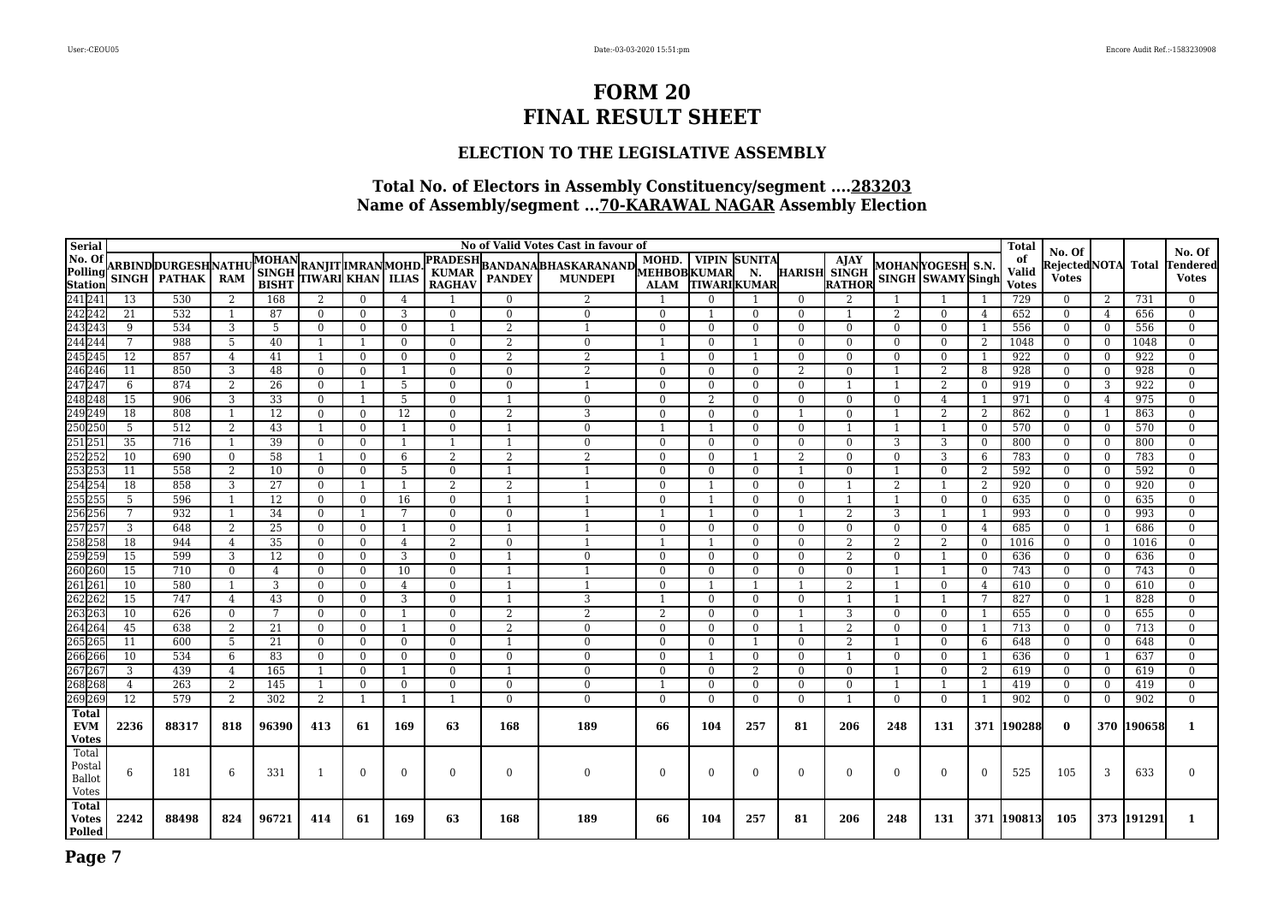### **ELECTION TO THE LEGISLATIVE ASSEMBLY**

| Serial                       |                |                      |                                |                              |                                              |                      |              |                               |                | No of Valid Votes Cast in favour of |                                   |                      |                          |                     |                      |                    |                   |                     | <b>Total</b>                 | No. Of               |                            |            | No. Of                     |
|------------------------------|----------------|----------------------|--------------------------------|------------------------------|----------------------------------------------|----------------------|--------------|-------------------------------|----------------|-------------------------------------|-----------------------------------|----------------------|--------------------------|---------------------|----------------------|--------------------|-------------------|---------------------|------------------------------|----------------------|----------------------------|------------|----------------------------|
|                              |                | ARBIND DURGESH NATHU |                                | <b>MOHAN</b>                 |                                              |                      |              | <b>PRADESH</b>                |                | <b>BANDANABHASKARANAND</b>          | MOHD.                             |                      | <b>VIPIN SUNITA</b>      |                     | <b>AJAY</b>          | MOHAN YOGESH  S.N. |                   |                     | of                           | RejectedNOTA Total   |                            |            | <b>Fendered</b>            |
|                              | <b>SINGH</b>   | <b>PATHAK</b>        | <b>RAM</b>                     | <b>SINGH</b><br><b>BISHT</b> | RANJIT  MRAN  MOHD<br> TIWARI  KHAN    ILIAS |                      |              | <b>KUMAR</b><br><b>RAGHAV</b> | <b>PANDEY</b>  | <b>MUNDEPI</b>                      | <b>MEHBOBKUMAR</b><br><b>ALAM</b> |                      | N.<br><b>TIWARIKUMAR</b> | <b>HARISH SINGH</b> | <b>RATHOR</b>        |                    | SINGH SWAMY Singh |                     | <b>Valid</b><br><b>Votes</b> | <b>Votes</b>         |                            |            | <b>Votes</b>               |
|                              | 13             | 530                  | $\overline{2}$                 | 168                          | 2                                            | $\Omega$             | 4            |                               | $\Omega$       | $\overline{2}$                      |                                   | $\Omega$             |                          | $\Omega$            | $\overline{2}$       |                    |                   |                     | 729                          | $\Omega$             | 2                          | 731        | $\Omega$                   |
|                              | 21             | 532                  |                                | 87                           | $\Omega$                                     | $\Omega$             | 3            | $\Omega$                      | $\Omega$       | $\overline{0}$                      | $\Omega$                          |                      | $\overline{0}$           | $\theta$            |                      | 2                  | $\theta$          | 4                   | 652                          | $\Omega$             | $\overline{4}$             | 656        | $\overline{0}$             |
|                              | 9              | 534                  | 3                              | 5                            | $\Omega$                                     | $\Omega$             | $\Omega$     |                               | $\overline{2}$ |                                     | $\Omega$                          | $\Omega$             | $\theta$                 | $\Omega$            | $\Omega$             | $\theta$           | $\Omega$          |                     | 556                          | $\Omega$             | $\overline{0}$             | 556        | $\Omega$                   |
|                              | 7              | 988                  | -5                             | 40                           |                                              | -1                   | $\Omega$     | $\Omega$                      | $\overline{2}$ | $\Omega$                            |                                   | $\Omega$             |                          | $\Omega$            | $\Omega$             | $\Omega$           | $\Omega$          | 2                   | 1048                         | $\mathbf{0}$         | $\bf{0}$                   | 1048       | $\overline{0}$             |
|                              | 12             | 857                  | $\overline{4}$                 | 41                           |                                              | $\Omega$             | $\Omega$     | $\Omega$                      | $\overline{2}$ | $\overline{2}$                      |                                   | $\Omega$             |                          | $\Omega$            | $\Omega$             | $\theta$           | $\Omega$          |                     | 922                          | $\Omega$             | $\mathbf{0}$               | 922        | $\Omega$                   |
|                              | 11             | 850                  | 3                              | 48                           | $\Omega$                                     | $\Omega$             |              | $\Omega$                      | $\mathbf{0}$   | $\overline{2}$                      | $\Omega$                          | $\Omega$             | $\theta$                 | $\mathcal{L}$       | $\Omega$             |                    | 2                 | 8                   | 928                          | $\Omega$             | $\bf{0}$                   | 928        | $\overline{0}$             |
|                              | 6              | 874                  | $\overline{2}$                 | 26                           | $\Omega$                                     |                      | 5            | $\Omega$                      | $\Omega$       |                                     | $\Omega$                          | $\Omega$             | $\theta$                 | $\Omega$            |                      |                    | 2                 | $\Omega$            | 919                          | $\Omega$             | 3                          | 922        | $\Omega$                   |
|                              | 15             | 906                  | 3                              | 33                           | $\theta$                                     |                      | 5            | $\Omega$                      |                | $\Omega$                            | $\Omega$                          | 2                    | $\theta$                 | $\Omega$            | $\Omega$             | $\Omega$           | $\overline{4}$    |                     | 971                          | $\overline{0}$       | $\overline{4}$             | 975        | $\overline{0}$             |
|                              | 18             | 808                  |                                | 12                           | $\Omega$                                     | $\theta$             | 12           | $\Omega$                      | $\overline{2}$ | 3                                   | $\Omega$                          | $\Omega$             | $\theta$                 |                     | $\Omega$             |                    | 2                 | $\overline{2}$      | 862                          | $\Omega$             | $\overline{1}$             | 863        | $\Omega$                   |
|                              | 5              | 512                  | 2                              | 43                           |                                              | $\Omega$             |              | $\Omega$                      |                | $\Omega$                            |                                   |                      | $\theta$                 | $\theta$            |                      |                    |                   | $\Omega$            | 570                          | $\Omega$             | $\overline{0}$             | 570        | $\Omega$                   |
|                              | 35             | 716                  |                                | 39                           | $\Omega$                                     | $\Omega$             |              |                               |                | $\Omega$                            | $\Omega$                          | $\Omega$             | $\theta$                 | $\Omega$            | $\Omega$             | 3                  | 3                 | $\Omega$            | 800                          | $\Omega$             | $\overline{0}$             | 800        | $\Omega$                   |
|                              | 10<br>11       | 690<br>558           | $\mathbf{0}$<br>$\overline{2}$ | 58<br>10                     | $\Omega$                                     | $\Omega$<br>$\Omega$ | 6<br>5       | 2<br>$\Omega$                 | $\overline{2}$ | $\overline{2}$                      | $\Omega$<br>$\Omega$              | $\Omega$<br>$\Omega$ | $\theta$                 |                     | $\Omega$<br>$\Omega$ | $\theta$           | 3<br>$\Omega$     | 6                   | 783<br>592                   | $\Omega$<br>$\Omega$ | $\overline{0}$             | 783<br>592 | $\overline{0}$<br>$\theta$ |
|                              | 18             | 858                  | 3                              | 27                           | $\Omega$                                     |                      |              | 2                             | $\overline{2}$ |                                     | $\Omega$                          |                      | $\theta$                 | $\theta$            |                      | $\overline{2}$     |                   | $\overline{2}$<br>2 | 920                          | $\Omega$             | $\overline{0}$<br>$\bf{0}$ | 920        | $\overline{0}$             |
|                              | $\overline{5}$ | 596                  |                                | 12                           | $\Omega$                                     | $\Omega$             | 16           | $\Omega$                      |                |                                     | $\Omega$                          |                      | $\theta$                 | $\Omega$            |                      |                    | $\Omega$          | $\Omega$            | 635                          | $\Omega$             | $\overline{0}$             | 635        | $\Omega$                   |
|                              |                | 932                  |                                | 34                           | $\Omega$                                     |                      |              | $\Omega$                      | $\Omega$       |                                     |                                   |                      | $\theta$                 |                     | $\overline{2}$       | 3                  |                   |                     | 993                          | $\Omega$             | $\overline{0}$             | 993        | $\overline{0}$             |
|                              | 3              | 648                  | $\overline{2}$                 | 25                           | $\Omega$                                     | $\mathbf{0}$         |              | $\Omega$                      |                |                                     | $\Omega$                          | $\Omega$             | $\overline{0}$           | $\theta$            | $\Omega$             | $\overline{0}$     | $\overline{0}$    | $\overline{4}$      | 685                          | $\overline{0}$       | $\overline{1}$             | 686        | $\theta$                   |
|                              | 18             | 944                  | $\overline{4}$                 | 35                           | $\mathbf{0}$                                 | $\Omega$             | 4            | $\mathfrak{D}$                | $\Omega$       |                                     |                                   |                      | $\overline{0}$           | $\mathbf{0}$        | $\overline{2}$       | $\overline{2}$     | 2                 | $\overline{0}$      | 1016                         | $\overline{0}$       | $\overline{0}$             | 1016       | $\overline{0}$             |
|                              | 15             | 599                  | 3                              | 12                           | $\Omega$                                     | $\Omega$             | 3            | $\Omega$                      |                | $\Omega$                            | $\Omega$                          | $\Omega$             | $\theta$                 | $\Omega$            | $\overline{2}$       | $\Omega$           |                   | $\theta$            | 636                          | $\overline{0}$       | $\overline{0}$             | 636        | $\overline{0}$             |
|                              | 15             | 710                  | $\mathbf{0}$                   | 4                            | $\Omega$                                     | $\theta$             | 10           | $\overline{0}$                |                |                                     | $\Omega$                          | $\Omega$             | $\overline{0}$           | $\Omega$            | $\Omega$             |                    |                   | $\Omega$            | 743                          | $\mathbf{0}$         | $\mathbf{0}$               | 743        | $\Omega$                   |
|                              | 10             | 580                  |                                | 3                            | $\Omega$                                     | $\Omega$             | 4            | $\Omega$                      |                |                                     | $\Omega$                          |                      |                          |                     | $\overline{2}$       |                    | $\Omega$          | $\overline{4}$      | 610                          | $\overline{0}$       | $\bf{0}$                   | 610        | $\Omega$                   |
|                              | 15             | 747                  | $\overline{4}$                 | 43                           | $\Omega$                                     | $\theta$             | 3            | $\Omega$                      |                | 3                                   |                                   | $\Omega$             | $\overline{0}$           | $\mathbf{0}$        |                      |                    |                   | -7                  | 827                          | $\overline{0}$       | -1                         | 828        | $\overline{0}$             |
|                              | 10             | 626                  | $\mathbf{0}$                   | 7                            | $\theta$                                     | $\theta$             |              | $\Omega$                      | 2              | $\overline{2}$                      | 2                                 | $\Omega$             | $\theta$                 | -1                  | 3                    | $\Omega$           | $\Omega$          | -1                  | 655                          | $\overline{0}$       | $\overline{0}$             | 655        | $\overline{0}$             |
|                              | 45             | 638                  | 2                              | 21                           | $\Omega$                                     | $\Omega$             |              | $\Omega$                      | $\overline{2}$ | $\Omega$                            | $\Omega$                          | $\Omega$             | $\overline{0}$           |                     | $\overline{2}$       | $\mathbf{0}$       | $\mathbf{0}$      | -1                  | 713                          | $\mathbf{0}$         | $\overline{0}$             | 713        | $\theta$                   |
|                              | 11             | 600                  | 5                              | 21                           | $\theta$                                     | $\theta$             | $\mathbf{0}$ | $\Omega$                      |                | $\Omega$                            | $\Omega$                          | $\Omega$             |                          | $\Omega$            | $\overline{2}$       |                    | $\Omega$          | 6                   | 648                          | $\Omega$             | $\bf{0}$                   | 648        | $\Omega$                   |
|                              | 10             | 534                  | 6                              | 83                           | $\mathbf{0}$                                 | $\Omega$             | $\mathbf{0}$ | $\Omega$                      | $\Omega$       | $\Omega$                            | $\mathbf{0}$                      |                      | $\overline{0}$           | $\mathbf{0}$        |                      | $\overline{0}$     | $\mathbf{0}$      |                     | 636                          | $\overline{0}$       | -1                         | 637        | $\overline{0}$             |
|                              | 3              | 439                  | $\overline{4}$                 | 165                          | $\overline{1}$                               | $\theta$             |              | $\Omega$                      |                | $\Omega$                            | $\Omega$                          | $\Omega$             | 2                        | $\Omega$            | $\Omega$             |                    | $\theta$          | 2                   | 619                          | $\Omega$             | $\overline{0}$             | 619        | $\overline{0}$             |
|                              | 4              | 263                  | 2                              | 145                          | -1                                           | $\theta$             | $\mathbf{0}$ | $\Omega$                      | $\Omega$       | $\Omega$                            |                                   | $\Omega$             | $\overline{0}$           | $\theta$            | $\Omega$             |                    |                   |                     | 419                          | $\mathbf{0}$         | $\mathbf{0}$               | 419        | $\Omega$                   |
|                              | 12             | 579                  | 2                              | 302                          | 2                                            | $\overline{1}$       |              | -1                            | $\Omega$       | $\Omega$                            | $\mathbf{0}$                      | $\Omega$             | $\overline{0}$           | $\theta$            |                      | $\Omega$           | $\Omega$          | -1                  | 902                          | $\Omega$             | $\overline{0}$             | 902        | $\Omega$                   |
| <b>Total</b>                 |                |                      |                                |                              |                                              |                      |              |                               |                |                                     |                                   |                      |                          |                     |                      |                    |                   |                     |                              |                      |                            |            |                            |
| <b>EVM</b><br><b>Votes</b>   | 2236           | 88317                | 818                            | 96390                        | 413                                          | 61                   | 169          | 63                            | 168            | 189                                 | 66                                | 104                  | 257                      | 81                  | 206                  | 248                | 131               | 371                 | 190288                       | $\bf{0}$             | 370                        | 190658     | 1                          |
| Total                        |                |                      |                                |                              |                                              |                      |              |                               |                |                                     |                                   |                      |                          |                     |                      |                    |                   |                     |                              |                      |                            |            |                            |
| Postal                       | 6              | 181                  | 6                              | 331                          | -1                                           | $\Omega$             | $\Omega$     | $\Omega$                      | $\Omega$       | $\Omega$                            | $\mathbf{0}$                      | $\Omega$             | $\theta$                 | $\Omega$            | $\Omega$             | $\Omega$           | $\Omega$          | $\Omega$            | 525                          | 105                  | 3                          | 633        | $\Omega$                   |
| Ballot                       |                |                      |                                |                              |                                              |                      |              |                               |                |                                     |                                   |                      |                          |                     |                      |                    |                   |                     |                              |                      |                            |            |                            |
| Votes                        |                |                      |                                |                              |                                              |                      |              |                               |                |                                     |                                   |                      |                          |                     |                      |                    |                   |                     |                              |                      |                            |            |                            |
| <b>Total</b><br><b>Votes</b> | 2242           | 88498                | 824                            | 96721                        | 414                                          | 61                   | 169          | 63                            | 168            | 189                                 | 66                                | 104                  | 257                      | 81                  | 206                  | 248                | 131               |                     | 371 190813                   | 105                  |                            | 373 191291 | 1                          |
| <b>Polled</b>                |                |                      |                                |                              |                                              |                      |              |                               |                |                                     |                                   |                      |                          |                     |                      |                    |                   |                     |                              |                      |                            |            |                            |